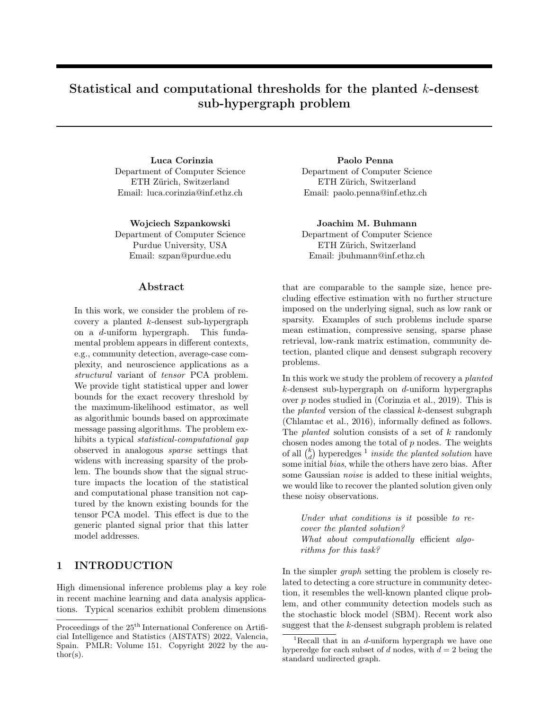# Statistical and computational thresholds for the planted k-densest sub-hypergraph problem

Luca Corinzia Paolo Penna Department of Computer Science ETH Zürich, Switzerland Email: luca.corinzia@inf.ethz.ch

Wojciech Szpankowski Joachim M. Buhmann Department of Computer Science Purdue University, USA Email: szpan@purdue.edu

## Abstract

In this work, we consider the problem of recovery a planted k-densest sub-hypergraph on a d-uniform hypergraph. This fundamental problem appears in different contexts, e.g., community detection, average-case complexity, and neuroscience applications as a structural variant of tensor PCA problem. We provide tight statistical upper and lower bounds for the exact recovery threshold by the maximum-likelihood estimator, as well as algorithmic bounds based on approximate message passing algorithms. The problem exhibits a typical *statistical-computational qap* observed in analogous sparse settings that widens with increasing sparsity of the problem. The bounds show that the signal structure impacts the location of the statistical and computational phase transition not captured by the known existing bounds for the tensor PCA model. This effect is due to the generic planted signal prior that this latter model addresses.

## 1 INTRODUCTION

High dimensional inference problems play a key role in recent machine learning and data analysis applications. Typical scenarios exhibit problem dimensions Department of Computer Science ETH Zürich, Switzerland Email: paolo.penna@inf.ethz.ch

Department of Computer Science ETH Zürich, Switzerland Email: jbuhmann@inf.ethz.ch

that are comparable to the sample size, hence precluding effective estimation with no further structure imposed on the underlying signal, such as low rank or sparsity. Examples of such problems include sparse mean estimation, compressive sensing, sparse phase retrieval, low-rank matrix estimation, community detection, planted clique and densest subgraph recovery problems.

In this work we study the problem of recovery a planted  $k$ -densest sub-hypergraph on  $d$ -uniform hypergraphs over p nodes studied in (Corinzia et al., 2019). This is the *planted* version of the classical  $k$ -densest subgraph (Chlamtac et al., 2016), informally defined as follows. The *planted* solution consists of a set of k randomly chosen nodes among the total of  $p$  nodes. The weights of all  $\binom{k}{d}$  hyperedges <sup>1</sup> inside the planted solution have some initial bias, while the others have zero bias. After some Gaussian *noise* is added to these initial weights, we would like to recover the planted solution given only these noisy observations.

Under what conditions is it possible to recover the planted solution? What about computationally efficient algorithms for this task?

In the simpler graph setting the problem is closely related to detecting a core structure in community detection, it resembles the well-known planted clique problem, and other community detection models such as the stochastic block model (SBM). Recent work also suggest that the k-densest subgraph problem is related

Proceedings of the  $25^{\text{th}}$  International Conference on Artificial Intelligence and Statistics (AISTATS) 2022, Valencia, Spain. PMLR: Volume 151. Copyright 2022 by the au- $\text{thor}(s)$ .

<sup>&</sup>lt;sup>1</sup>Recall that in an  $d$ -uniform hypergraph we have one hyperedge for each subset of  $d$  nodes, with  $d = 2$  being the standard undirected graph.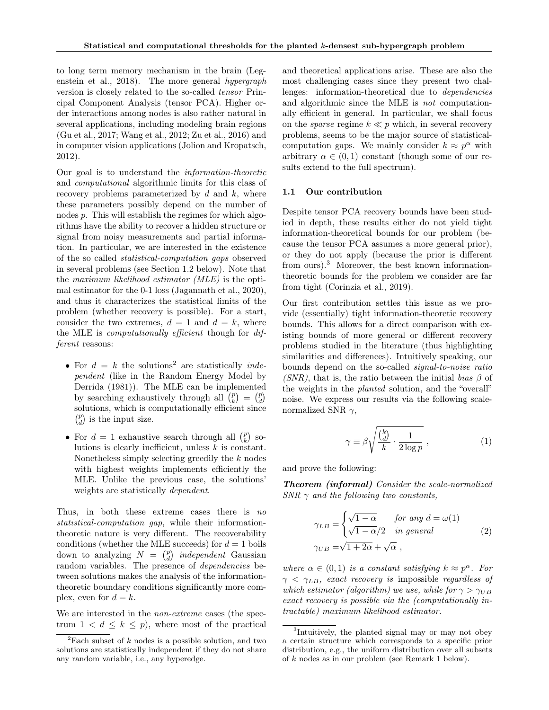to long term memory mechanism in the brain (Legenstein et al., 2018). The more general hypergraph version is closely related to the so-called tensor Principal Component Analysis (tensor PCA). Higher order interactions among nodes is also rather natural in several applications, including modeling brain regions (Gu et al., 2017; Wang et al., 2012; Zu et al., 2016) and in computer vision applications (Jolion and Kropatsch, 2012).

Our goal is to understand the information-theoretic and computational algorithmic limits for this class of recovery problems parameterized by  $d$  and  $k$ , where these parameters possibly depend on the number of nodes p. This will establish the regimes for which algorithms have the ability to recover a hidden structure or signal from noisy measurements and partial information. In particular, we are interested in the existence of the so called statistical-computation gaps observed in several problems (see Section 1.2 below). Note that the maximum likelihood estimator (MLE) is the optimal estimator for the 0-1 loss (Jagannath et al., 2020), and thus it characterizes the statistical limits of the problem (whether recovery is possible). For a start, consider the two extremes,  $d = 1$  and  $d = k$ , where the MLE is computationally efficient though for different reasons:

- For  $d = k$  the solutions<sup>2</sup> are statistically *inde*pendent (like in the Random Energy Model by Derrida (1981)). The MLE can be implemented by searching exhaustively through all  $\binom{p}{k} = \binom{p}{d}$ solutions, which is computationally efficient since  $\left(\begin{smallmatrix}p\\d\end{smallmatrix}\right)$  is the input size.
- For  $d = 1$  exhaustive search through all  $\binom{p}{k}$  solutions is clearly inefficient, unless  $k$  is constant. Nonetheless simply selecting greedily the  $k$  nodes with highest weights implements efficiently the MLE. Unlike the previous case, the solutions' weights are statistically dependent.

Thus, in both these extreme cases there is no statistical-computation gap, while their informationtheoretic nature is very different. The recoverability conditions (whether the MLE succeeds) for  $d = 1$  boils down to analyzing  $N = \binom{p}{d}$  independent Gaussian random variables. The presence of dependencies between solutions makes the analysis of the informationtheoretic boundary conditions significantly more complex, even for  $d = k$ .

We are interested in the non-extreme cases (the spectrum  $1 < d \leq k \leq p$ , where most of the practical and theoretical applications arise. These are also the most challenging cases since they present two challenges: information-theoretical due to dependencies and algorithmic since the MLE is not computationally efficient in general. In particular, we shall focus on the *sparse* regime  $k \ll p$  which, in several recovery problems, seems to be the major source of statisticalcomputation gaps. We mainly consider  $k \approx p^{\alpha}$  with arbitrary  $\alpha \in (0,1)$  constant (though some of our results extend to the full spectrum).

### 1.1 Our contribution

Despite tensor PCA recovery bounds have been studied in depth, these results either do not yield tight information-theoretical bounds for our problem (because the tensor PCA assumes a more general prior), or they do not apply (because the prior is different from ours).<sup>3</sup> Moreover, the best known informationtheoretic bounds for the problem we consider are far from tight (Corinzia et al., 2019).

Our first contribution settles this issue as we provide (essentially) tight information-theoretic recovery bounds. This allows for a direct comparison with existing bounds of more general or different recovery problems studied in the literature (thus highlighting similarities and differences). Intuitively speaking, our bounds depend on the so-called signal-to-noise ratio (SNR), that is, the ratio between the initial bias  $\beta$  of the weights in the planted solution, and the "overall" noise. We express our results via the following scalenormalized SNR  $\gamma$ ,

$$
\gamma \equiv \beta \sqrt{\frac{\binom{k}{d}}{k} \cdot \frac{1}{2 \log p}},\tag{1}
$$

and prove the following:

Theorem (informal) Consider the scale-normalized  $SNR \gamma$  and the following two constants,

$$
\gamma_{LB} = \begin{cases}\n\sqrt{1 - \alpha} & \text{for any } d = \omega(1) \\
\sqrt{1 - \alpha}/2 & \text{in general} \\
\gamma_{UB} = \sqrt{1 + 2\alpha} + \sqrt{\alpha},\n\end{cases} \tag{2}
$$

where  $\alpha \in (0,1)$  is a constant satisfying  $k \approx p^{\alpha}$ . For  $\gamma < \gamma_{LB}$ , exact recovery is impossible regardless of which estimator (algorithm) we use, while for  $\gamma > \gamma_{UB}$ exact recovery is possible via the (computationally intractable) maximum likelihood estimator.

<sup>&</sup>lt;sup>2</sup>Each subset of  $k$  nodes is a possible solution, and two solutions are statistically independent if they do not share any random variable, i.e., any hyperedge.

<sup>3</sup> Intuitively, the planted signal may or may not obey a certain structure which corresponds to a specific prior distribution, e.g., the uniform distribution over all subsets of k nodes as in our problem (see Remark 1 below).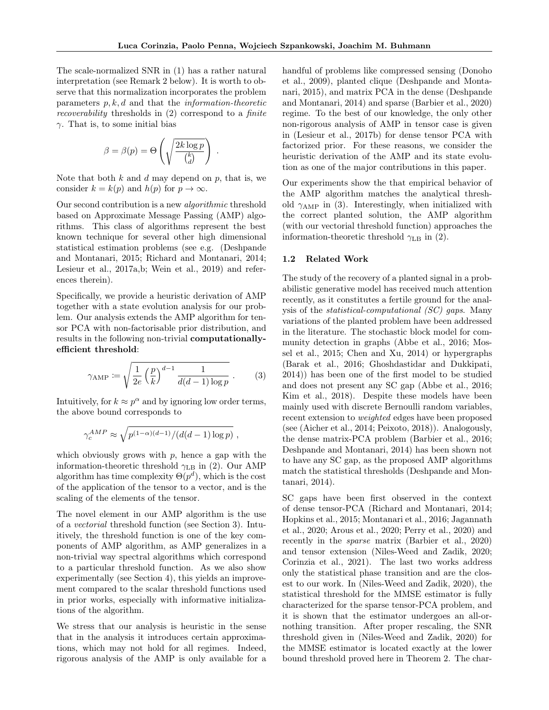The scale-normalized SNR in (1) has a rather natural interpretation (see Remark 2 below). It is worth to observe that this normalization incorporates the problem parameters  $p, k, d$  and that the *information-theoretic* recoverability thresholds in (2) correspond to a finite  $\gamma$ . That is, to some initial bias

$$
\beta = \beta(p) = \Theta\left(\sqrt{\frac{2k \log p}{\binom{k}{d}}}\right).
$$

Note that both  $k$  and  $d$  may depend on  $p$ , that is, we consider  $k = k(p)$  and  $h(p)$  for  $p \to \infty$ .

Our second contribution is a new algorithmic threshold based on Approximate Message Passing (AMP) algorithms. This class of algorithms represent the best known technique for several other high dimensional statistical estimation problems (see e.g. (Deshpande and Montanari, 2015; Richard and Montanari, 2014; Lesieur et al., 2017a,b; Wein et al., 2019) and references therein).

Specifically, we provide a heuristic derivation of AMP together with a state evolution analysis for our problem. Our analysis extends the AMP algorithm for tensor PCA with non-factorisable prior distribution, and results in the following non-trivial computationallyefficient threshold:

$$
\gamma_{\rm AMP} \coloneqq \sqrt{\frac{1}{2e} \left(\frac{p}{k}\right)^{d-1} \frac{1}{d(d-1)\log p}}.
$$
 (3)

Intuitively, for  $k \approx p^{\alpha}$  and by ignoring low order terms, the above bound corresponds to

$$
\gamma_c^{AMP} \approx \sqrt{p^{(1-\alpha)(d-1)}/(d(d-1)\log p)} ,
$$

which obviously grows with  $p$ , hence a gap with the information-theoretic threshold  $\gamma_{\text{LB}}$  in (2). Our AMP algorithm has time complexity  $\Theta(p^d)$ , which is the cost of the application of the tensor to a vector, and is the scaling of the elements of the tensor.

The novel element in our AMP algorithm is the use of a vectorial threshold function (see Section 3). Intuitively, the threshold function is one of the key components of AMP algorithm, as AMP generalizes in a non-trivial way spectral algorithms which correspond to a particular threshold function. As we also show experimentally (see Section 4), this yields an improvement compared to the scalar threshold functions used in prior works, especially with informative initializations of the algorithm.

We stress that our analysis is heuristic in the sense that in the analysis it introduces certain approximations, which may not hold for all regimes. Indeed, rigorous analysis of the AMP is only available for a handful of problems like compressed sensing (Donoho et al., 2009), planted clique (Deshpande and Montanari, 2015), and matrix PCA in the dense (Deshpande and Montanari, 2014) and sparse (Barbier et al., 2020) regime. To the best of our knowledge, the only other non-rigorous analysis of AMP in tensor case is given in (Lesieur et al., 2017b) for dense tensor PCA with factorized prior. For these reasons, we consider the heuristic derivation of the AMP and its state evolution as one of the major contributions in this paper.

Our experiments show the that empirical behavior of the AMP algorithm matches the analytical threshold  $\gamma_{\text{AMP}}$  in (3). Interestingly, when initialized with the correct planted solution, the AMP algorithm (with our vectorial threshold function) approaches the information-theoretic threshold  $\gamma_{\text{LB}}$  in (2).

#### 1.2 Related Work

The study of the recovery of a planted signal in a probabilistic generative model has received much attention recently, as it constitutes a fertile ground for the analysis of the statistical-computational (SC) gaps. Many variations of the planted problem have been addressed in the literature. The stochastic block model for community detection in graphs (Abbe et al., 2016; Mossel et al., 2015; Chen and Xu, 2014) or hypergraphs (Barak et al., 2016; Ghoshdastidar and Dukkipati, 2014)) has been one of the first model to be studied and does not present any SC gap (Abbe et al., 2016; Kim et al., 2018). Despite these models have been mainly used with discrete Bernoulli random variables, recent extension to weighted edges have been proposed (see (Aicher et al., 2014; Peixoto, 2018)). Analogously, the dense matrix-PCA problem (Barbier et al., 2016; Deshpande and Montanari, 2014) has been shown not to have any SC gap, as the proposed AMP algorithms match the statistical thresholds (Deshpande and Montanari, 2014).

SC gaps have been first observed in the context of dense tensor-PCA (Richard and Montanari, 2014; Hopkins et al., 2015; Montanari et al., 2016; Jagannath et al., 2020; Arous et al., 2020; Perry et al., 2020) and recently in the sparse matrix (Barbier et al., 2020) and tensor extension (Niles-Weed and Zadik, 2020; Corinzia et al., 2021). The last two works address only the statistical phase transition and are the closest to our work. In (Niles-Weed and Zadik, 2020), the statistical threshold for the MMSE estimator is fully characterized for the sparse tensor-PCA problem, and it is shown that the estimator undergoes an all-ornothing transition. After proper rescaling, the SNR threshold given in (Niles-Weed and Zadik, 2020) for the MMSE estimator is located exactly at the lower bound threshold proved here in Theorem 2. The char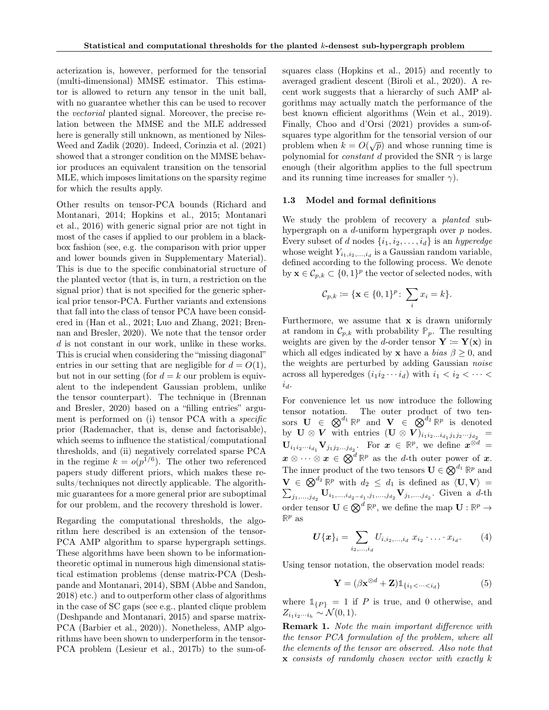acterization is, however, performed for the tensorial (multi-dimensional) MMSE estimator. This estimator is allowed to return any tensor in the unit ball, with no guarantee whether this can be used to recover the vectorial planted signal. Moreover, the precise relation between the MMSE and the MLE addressed here is generally still unknown, as mentioned by Niles-Weed and Zadik (2020). Indeed, Corinzia et al. (2021) showed that a stronger condition on the MMSE behavior produces an equivalent transition on the tensorial MLE, which imposes limitations on the sparsity regime for which the results apply.

Other results on tensor-PCA bounds (Richard and Montanari, 2014; Hopkins et al., 2015; Montanari et al., 2016) with generic signal prior are not tight in most of the cases if applied to our problem in a blackbox fashion (see, e.g. the comparison with prior upper and lower bounds given in Supplementary Material). This is due to the specific combinatorial structure of the planted vector (that is, in turn, a restriction on the signal prior) that is not specified for the generic spherical prior tensor-PCA. Further variants and extensions that fall into the class of tensor PCA have been considered in (Han et al., 2021; Luo and Zhang, 2021; Brennan and Bresler, 2020). We note that the tensor order d is not constant in our work, unlike in these works. This is crucial when considering the "missing diagonal" entries in our setting that are negligible for  $d = O(1)$ , but not in our setting (for  $d = k$  our problem is equivalent to the independent Gaussian problem, unlike the tensor counterpart). The technique in (Brennan and Bresler, 2020) based on a "filling entries" argument is performed on (i) tensor PCA with a *specific* prior (Rademacher, that is, dense and factorisable), which seems to influence the statistical/computational thresholds, and (ii) negatively correlated sparse PCA in the regime  $k = o(p^{1/6})$ . The other two referenced papers study different priors, which makes these results/techniques not directly applicable. The algorithmic guarantees for a more general prior are suboptimal for our problem, and the recovery threshold is lower.

Regarding the computational thresholds, the algorithm here described is an extension of the tensor-PCA AMP algorithm to sparse hypergraph settings. These algorithms have been shown to be informationtheoretic optimal in numerous high dimensional statistical estimation problems (dense matrix-PCA (Deshpande and Montanari, 2014), SBM (Abbe and Sandon, 2018) etc.) and to outperform other class of algorithms in the case of SC gaps (see e.g., planted clique problem (Deshpande and Montanari, 2015) and sparse matrix-PCA (Barbier et al., 2020)). Nonetheless, AMP algorithms have been shown to underperform in the tensor-PCA problem (Lesieur et al., 2017b) to the sum-ofsquares class (Hopkins et al., 2015) and recently to averaged gradient descent (Biroli et al., 2020). A recent work suggests that a hierarchy of such AMP algorithms may actually match the performance of the best known efficient algorithms (Wein et al., 2019). Finally, Choo and d'Orsi (2021) provides a sum-ofsquares type algorithm for the tensorial version of our problem when  $k = O(\sqrt{p})$  and whose running time is polynomial for *constant d* provided the SNR  $\gamma$  is large enough (their algorithm applies to the full spectrum and its running time increases for smaller  $\gamma$ ).

#### 1.3 Model and formal definitions

We study the problem of recovery a *planted* subhypergraph on a d-uniform hypergraph over p nodes. Every subset of d nodes  $\{i_1, i_2, \ldots, i_d\}$  is an *hyperedge* whose weight  $Y_{i_1,i_2,\ldots,i_d}$  is a Gaussian random variable, defined according to the following process. We denote by  $\mathbf{x} \in \mathcal{C}_{p,k} \subset \{0,1\}^p$  the vector of selected nodes, with

$$
\mathcal{C}_{p,k} := \{ \mathbf{x} \in \{0,1\}^p \colon \sum_i x_i = k \}.
$$

Furthermore, we assume that x is drawn uniformly at random in  $\mathcal{C}_{p,k}$  with probability  $\mathbb{P}_p$ . The resulting weights are given by the d-order tensor  $\mathbf{Y} \coloneqq \mathbf{Y}(\mathbf{x})$  in which all edges indicated by **x** have a *bias*  $\beta \geq 0$ , and the weights are perturbed by adding Gaussian noise across all hyperedges  $(i_1i_2 \cdots i_d)$  with  $i_1 < i_2 < \cdots <$  $i_d$ .

For convenience let us now introduce the following tensor notation. The outer product of two tensors  $\mathbf{U} \in \mathbb{Q}^{d_1} \mathbb{R}^p$  and  $\mathbf{V} \in \mathbb{Q}^{d_2} \mathbb{R}^p$  is denoted by  $\mathbf{U} \otimes \mathbf{V}$  with entries  $(\mathbf{U} \otimes \mathbf{V})_{i_1 i_2 ... i_{d_1} j_1 j_2 ... j_{d_2}} =$  $\mathbf{U}_{i_1i_2\cdots i_{d_1}}\mathbf{V}_{j_1j_2\cdots j_{d_2}}$ . For  $\boldsymbol{x} \in \mathbb{R}^p$ , we define  $\boldsymbol{x}^{\otimes d}$  =  $\boldsymbol{x} \otimes \cdots \otimes \boldsymbol{x} \in \bigotimes^d \mathbb{R}^p$  as the *d*-th outer power of  $\boldsymbol{x}$ . The inner product of the two tensors  $\mathbf{U} \in \mathbb{Q}^{d_1} \mathbb{R}^p$  and  $\mathbf{V} \in \otimes^{d_2} \mathbb{R}^p$  with  $d_2 \leq d_1$  is defined as  $\langle \mathbf{U}, \mathbf{V} \rangle =$  $\sum_{j_1,...,j_{d_2}} \mathbf{U}_{i_1,...,i_{d_2-d_1},j_1,...,j_{d_2}} \mathbf{V}_{j_1,...,j_{d_2}}.$  Given a d-th order tensor  $\mathbf{U} \in \mathbb{Q}^d \mathbb{R}^p$ , we define the map  $\mathbf{U} : \mathbb{R}^p \to$  $\mathbb{R}^p$  as

$$
U\{\boldsymbol{x}\}_i = \sum_{i_2,...,i_d} U_{i,i_2,...,i_d} \; x_{i_2} \cdot \ldots \cdot x_{i_d}.\tag{4}
$$

Using tensor notation, the observation model reads:

$$
\mathbf{Y} = (\beta \mathbf{x}^{\otimes d} + \mathbf{Z}) \mathbb{1}_{\{i_1 < \dots < i_d\}} \tag{5}
$$

where  $\mathbb{1}_{\{P\}} = 1$  if P is true, and 0 otherwise, and  $Z_{i_1i_2\cdots i_h} \sim \mathcal{N}(0,1).$ 

Remark 1. Note the main important difference with the tensor PCA formulation of the problem, where all the elements of the tensor are observed. Also note that  $x$  consists of randomly chosen vector with exactly  $k$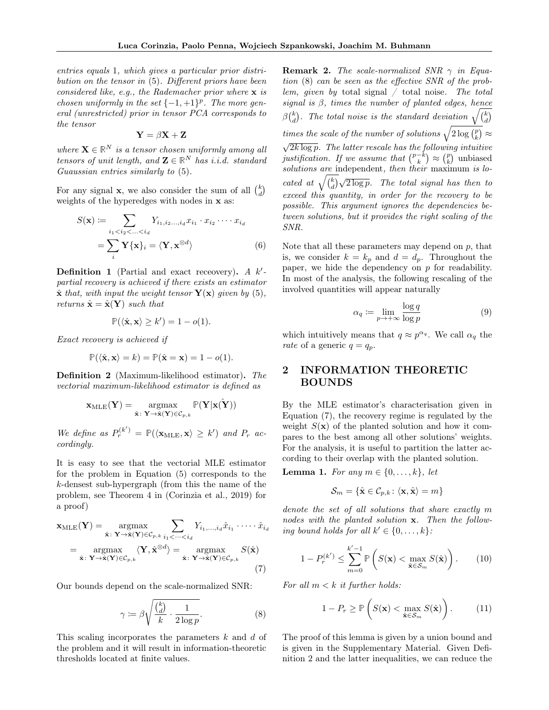entries equals 1, which gives a particular prior distribution on the tensor in (5). Different priors have been considered like, e.g., the Rademacher prior where x is chosen uniformly in the set  $\{-1,+1\}^p$ . The more general (unrestricted) prior in tensor PCA corresponds to the tensor

$$
\mathbf{Y} = \beta \mathbf{X} + \mathbf{Z}
$$

where  $\mathbf{X} \in \mathbb{R}^N$  is a tensor chosen uniformly among all tensors of unit length, and  $\mathbf{Z} \in \mathbb{R}^N$  has *i.i.d.* standard Guaussian entries similarly to (5).

For any signal **x**, we also consider the sum of all  $\binom{k}{d}$ weights of the hyperedges with nodes in  $x$  as:

$$
S(\mathbf{x}) := \sum_{i_1 < i_2 < \ldots < i_d} Y_{i_1, i_2, \ldots, i_d} x_{i_1} \cdot x_{i_2} \cdots x_{i_d}
$$
\n
$$
= \sum_i \mathbf{Y} \{ \mathbf{x} \}_i = \langle \mathbf{Y}, \mathbf{x}^{\otimes d} \rangle \tag{6}
$$

**Definition 1** (Partial and exact receivery). A  $k'$ partial recovery is achieved if there exists an estimator  $\hat{\mathbf{x}}$  that, with input the weight tensor  $\mathbf{Y}(\mathbf{x})$  given by (5), returns  $\hat{\mathbf{x}} = \hat{\mathbf{x}}(\mathbf{Y})$  such that

$$
\mathbb{P}(\langle \hat{\mathbf{x}}, \mathbf{x} \rangle \ge k') = 1 - o(1).
$$

Exact recovery is achieved if

$$
\mathbb{P}(\langle \hat{\mathbf{x}}, \mathbf{x} \rangle = k) = \mathbb{P}(\hat{\mathbf{x}} = \mathbf{x}) = 1 - o(1).
$$

Definition 2 (Maximum-likelihood estimator). The vectorial maximum-likelihood estimator is defined as

$$
\mathbf{x}_{\text{MLE}}(\mathbf{Y}) = \underset{\hat{\mathbf{x}} \colon \mathbf{Y} \to \hat{\mathbf{x}}(\mathbf{Y}) \in \mathcal{C}_{p,k}}{\text{argmax}} \mathbb{P}(\mathbf{Y}|\mathbf{x}(\hat{\mathbf{Y}}))
$$

We define as  $P_r^{(k')} = \mathbb{P}(\langle \mathbf{x}_{MLE}, \mathbf{x} \rangle \geq k')$  and  $P_r$  accordingly.

It is easy to see that the vectorial MLE estimator for the problem in Equation (5) corresponds to the k-densest sub-hypergraph (from this the name of the problem, see Theorem 4 in (Corinzia et al., 2019) for a proof)

$$
\mathbf{x}_{MLE}(\mathbf{Y}) = \underset{\hat{\mathbf{x}}: \mathbf{Y} \to \hat{\mathbf{x}}(\mathbf{Y}) \in \mathcal{C}_{p,k}}{\operatorname{argmax}} \sum_{i_1 < \dots < i_d} Y_{i_1, \dots, i_d} \hat{x}_{i_1} \cdot \dots \cdot \hat{x}_{i_d}
$$
\n
$$
= \underset{\hat{\mathbf{x}}: \mathbf{Y} \to \hat{\mathbf{x}}(\mathbf{Y}) \in \mathcal{C}_{p,k}}{\operatorname{argmax}} \langle \mathbf{Y}, \hat{\mathbf{x}}^{\otimes d} \rangle = \underset{\hat{\mathbf{x}}: \mathbf{Y} \to \hat{\mathbf{x}}(\mathbf{Y}) \in \mathcal{C}_{p,k}}{\operatorname{argmax}} S(\hat{\mathbf{x}})
$$
\n(7)

Our bounds depend on the scale-normalized SNR:

$$
\gamma := \beta \sqrt{\frac{\binom{k}{d}}{k} \cdot \frac{1}{2 \log p}}.\tag{8}
$$

This scaling incorporates the parameters  $k$  and  $d$  of the problem and it will result in information-theoretic thresholds located at finite values.

**Remark 2.** The scale-normalized SNR  $\gamma$  in Equation (8) can be seen as the effective SNR of the problem, given by total signal  $\ell$  total noise. The total signal is  $\beta$ , times the number of planted edges, hence  $\beta\binom{k}{d}$ . The total noise is the standard deviation  $\sqrt{\binom{k}{d}}$ times the scale of the number of solutions  $\sqrt{2\log {p\choose k}} \approx$  $\sqrt{2k \log p}$ . The latter rescale has the following intuitive justification. If we assume that  $\binom{p-k}{k} \approx \binom{p}{k}$  unbiased solutions are independent, then their maximum is located at  $\sqrt{\binom{k}{d}}\sqrt{2\log p}$ . The total signal has then to exceed this quantity, in order for the recovery to be possible. This argument ignores the dependencies between solutions, but it provides the right scaling of the SNR.

Note that all these parameters may depend on  $p$ , that is, we consider  $k = k_p$  and  $d = d_p$ . Throughout the paper, we hide the dependency on  $p$  for readability. In most of the analysis, the following rescaling of the involved quantities will appear naturally

$$
\alpha_q := \lim_{p \to +\infty} \frac{\log q}{\log p} \tag{9}
$$

which intuitively means that  $q \approx p^{\alpha_q}$ . We call  $\alpha_q$  the rate of a generic  $q = q_p$ .

## 2 INFORMATION THEORETIC BOUNDS

By the MLE estimator's characterisation given in Equation (7), the recovery regime is regulated by the weight  $S(\mathbf{x})$  of the planted solution and how it compares to the best among all other solutions' weights. For the analysis, it is useful to partition the latter according to their overlap with the planted solution.

**Lemma 1.** For any  $m \in \{0, \ldots, k\}$ , let

$$
\mathcal{S}_m = \{ \hat{\mathbf{x}} \in \mathcal{C}_{p,k} \colon \langle \mathbf{x}, \hat{\mathbf{x}} \rangle = m \}
$$

denote the set of all solutions that share exactly m nodes with the planted solution **x**. Then the following bound holds for all  $k' \in \{0, \ldots, k\}$ :

$$
1 - P_r^{(k')} \le \sum_{m=0}^{k'-1} \mathbb{P}\left(S(\mathbf{x}) < \max_{\hat{\mathbf{x}} \in \mathcal{S}_m} S(\hat{\mathbf{x}})\right). \tag{10}
$$

For all  $m < k$  it further holds:

$$
1 - P_r \ge \mathbb{P}\left(S(\mathbf{x}) < \max_{\hat{\mathbf{x}} \in S_m} S(\hat{\mathbf{x}})\right). \tag{11}
$$

The proof of this lemma is given by a union bound and is given in the Supplementary Material. Given Definition 2 and the latter inequalities, we can reduce the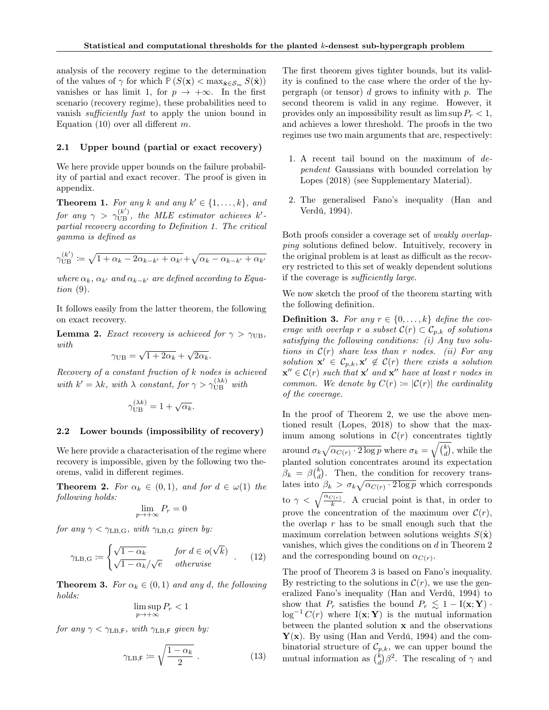analysis of the recovery regime to the determination of the values of  $\gamma$  for which  $P(S(\mathbf{x}) < \max_{\hat{\mathbf{x}} \in \mathcal{S}_m} S(\hat{\mathbf{x}}))$ vanishes or has limit 1, for  $p \to +\infty$ . In the first scenario (recovery regime), these probabilities need to vanish sufficiently fast to apply the union bound in Equation (10) over all different  $m$ .

### 2.1 Upper bound (partial or exact recovery)

We here provide upper bounds on the failure probability of partial and exact recover. The proof is given in appendix.

**Theorem 1.** For any k and any  $k' \in \{1, ..., k\}$ , and for any  $\gamma > \gamma_{\rm UB}^{(k')}$ , the MLE estimator achieves k'partial recovery according to Definition 1. The critical gamma is defined as

$$
\gamma_{\text{UB}}^{(k')} := \sqrt{1 + \alpha_k - 2\alpha_{k-k'} + \alpha_{k'}} + \sqrt{\alpha_k - \alpha_{k-k'} + \alpha_{k'}}
$$

where  $\alpha_k$ ,  $\alpha_{k'}$  and  $\alpha_{k-k'}$  are defined according to Equation (9).

It follows easily from the latter theorem, the following on exact recovery.

**Lemma 2.** Exact recovery is achieved for  $\gamma > \gamma_{\text{UB}}$ , with √ √

$$
\gamma_{\text{UB}} = \sqrt{1 + 2\alpha_k} + \sqrt{2\alpha_k}.
$$

Recovery of a constant fraction of k nodes is achieved with  $k' = \lambda k$ , with  $\lambda$  constant, for  $\gamma > \gamma_{\text{UB}}^{(\lambda k)}$  with

$$
\gamma_{\text{UB}}^{(\lambda k)} = 1 + \sqrt{\alpha_k}.
$$

#### 2.2 Lower bounds (impossibility of recovery)

We here provide a characterisation of the regime where recovery is impossible, given by the following two theorems, valid in different regimes.

**Theorem 2.** For  $\alpha_k \in (0,1)$ , and for  $d \in \omega(1)$  the following holds:

$$
\lim_{p \to +\infty} P_r = 0
$$

for any  $\gamma < \gamma_{\text{LB,G}}$ , with  $\gamma_{\text{LB,G}}$  given by:

$$
\gamma_{\text{LB},\text{G}} \coloneqq \begin{cases} \sqrt{1 - \alpha_k} & \text{for } d \in o(\sqrt{k}) \\ \sqrt{1 - \alpha_k}/\sqrt{e} & \text{otherwise} \end{cases} . \tag{12}
$$

**Theorem 3.** For  $\alpha_k \in (0,1)$  and any d, the following holds:

$$
\limsup_{p \to +\infty} P_r < 1
$$

for any  $\gamma < \gamma_{\text{LB,F}}$ , with  $\gamma_{\text{LB,F}}$  given by:

$$
\gamma_{\text{LB},\text{F}} \coloneqq \sqrt{\frac{1 - \alpha_k}{2}} \ . \tag{13}
$$

The first theorem gives tighter bounds, but its validity is confined to the case where the order of the hypergraph (or tensor)  $d$  grows to infinity with  $p$ . The second theorem is valid in any regime. However, it provides only an impossibility result as  $\limsup P_r < 1$ , and achieves a lower threshold. The proofs in the two regimes use two main arguments that are, respectively:

- 1. A recent tail bound on the maximum of dependent Gaussians with bounded correlation by Lopes (2018) (see Supplementary Material).
- 2. The generalised Fano's inequality (Han and Verdú, 1994).

Both proofs consider a coverage set of weakly overlapping solutions defined below. Intuitively, recovery in the original problem is at least as difficult as the recovery restricted to this set of weakly dependent solutions if the coverage is sufficiently large.

We now sketch the proof of the theorem starting with the following definition.

**Definition 3.** For any  $r \in \{0, \ldots, k\}$  define the coverage with overlap r a subset  $\mathcal{C}(r) \subset \mathcal{C}_{p,k}$  of solutions satisfying the following conditions: (i) Any two solutions in  $\mathcal{C}(r)$  share less than r nodes. (ii) For any solution  $\mathbf{x}' \in \mathcal{C}_{p,k}, \mathbf{x}' \notin \mathcal{C}(r)$  there exists a solution  $\mathbf{x}'' \in \mathcal{C}(r)$  such that  $\mathbf{x}'$  and  $\mathbf{x}''$  have at least r nodes in common. We denote by  $C(r) := |\mathcal{C}(r)|$  the cardinality of the coverage.

In the proof of Theorem 2, we use the above mentioned result (Lopes, 2018) to show that the maximum among solutions in  $\mathcal{C}(r)$  concentrates tightly around  $\sigma_k \sqrt{\alpha_{C(r)} \cdot 2 \log p}$  where  $\sigma_k = \sqrt{\binom{k}{d}}$ , while the planted solution concentrates around its expectation  $\beta_k = \beta_{d}^{(k)}$ . Then, the condition for recovery translates into  $\beta_k > \sigma_k \sqrt{\alpha_{C(r)} \cdot 2 \log p}$  which corresponds to  $\gamma < \sqrt{\frac{\alpha_{C(r)}}{k}}$ . A crucial point is that, in order to prove the concentration of the maximum over  $\mathcal{C}(r)$ , the overlap  $r$  has to be small enough such that the maximum correlation between solutions weights  $S(\hat{\mathbf{x}})$ vanishes, which gives the conditions on d in Theorem 2 and the corresponding bound on  $\alpha_{C(r)}$ .

The proof of Theorem 3 is based on Fano's inequality. By restricting to the solutions in  $\mathcal{C}(r)$ , we use the generalized Fano's inequality (Han and Verdú, 1994) to show that  $P_r$  satisfies the bound  $P_r \lesssim 1 - I(\mathbf{x}; \mathbf{Y})$ .  $\log^{-1} C(r)$  where I(**x**; **Y**) is the mutual information between the planted solution  $x$  and the observations  $\mathbf{Y}(\mathbf{x})$ . By using (Han and Verdú, 1994) and the combinatorial structure of  $\mathcal{C}_{p,k}$ , we can upper bound the mutual information as  $\binom{k}{d} \beta^2$ . The rescaling of  $\gamma$  and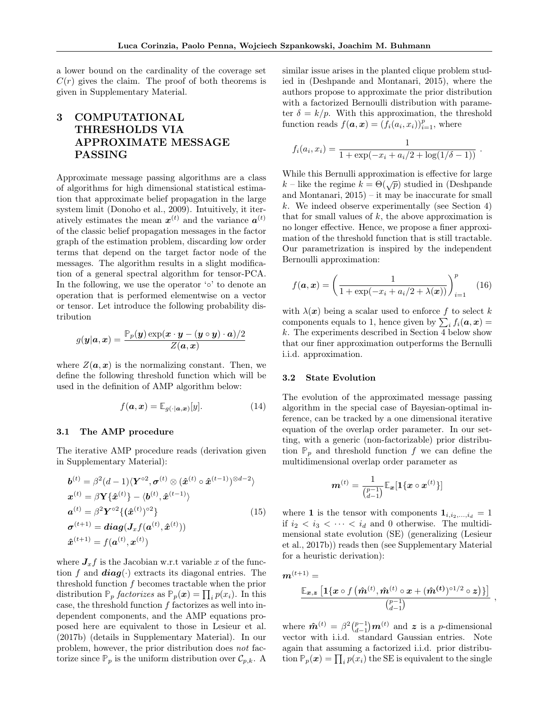a lower bound on the cardinality of the coverage set  $C(r)$  gives the claim. The proof of both theorems is given in Supplementary Material.

## 3 COMPUTATIONAL THRESHOLDS VIA APPROXIMATE MESSAGE PASSING

Approximate message passing algorithms are a class of algorithms for high dimensional statistical estimation that approximate belief propagation in the large system limit (Donoho et al., 2009). Intuitively, it iteratively estimates the mean  $x^{(t)}$  and the variance  $a^{(t)}$ of the classic belief propagation messages in the factor graph of the estimation problem, discarding low order terms that depend on the target factor node of the messages. The algorithm results in a slight modification of a general spectral algorithm for tensor-PCA. In the following, we use the operator '◦' to denote an operation that is performed elementwise on a vector or tensor. Let introduce the following probability distribution

$$
g(\boldsymbol{y}|\boldsymbol{a},\boldsymbol{x}) = \frac{\mathbb{P}_p(\boldsymbol{y}) \exp(\boldsymbol{x} \cdot \boldsymbol{y} - (\boldsymbol{y} \circ \boldsymbol{y}) \cdot \boldsymbol{a})/2}{Z(\boldsymbol{a},\boldsymbol{x})}
$$

where  $Z(\boldsymbol{a}, \boldsymbol{x})$  is the normalizing constant. Then, we define the following threshold function which will be used in the definition of AMP algorithm below:

$$
f(\mathbf{a}, \mathbf{x}) = \mathbb{E}_{g(\cdot | \mathbf{a}, \mathbf{x})}[y]. \tag{14}
$$

## 3.1 The AMP procedure

The iterative AMP procedure reads (derivation given in Supplementary Material):

$$
\mathbf{b}^{(t)} = \beta^2 (d-1) \langle \mathbf{Y}^{\circ 2}, \boldsymbol{\sigma}^{(t)} \otimes (\hat{\boldsymbol{x}}^{(t)} \circ \hat{\boldsymbol{x}}^{(t-1)})^{\otimes d-2} \rangle
$$
  
\n
$$
\mathbf{x}^{(t)} = \beta \mathbf{Y} \{ \hat{\mathbf{x}}^{(t)} \} - \langle \mathbf{b}^{(t)}, \hat{\mathbf{x}}^{(t-1)} \rangle
$$
  
\n
$$
\mathbf{a}^{(t)} = \beta^2 \mathbf{Y}^{\circ 2} \{ (\hat{\mathbf{x}}^{(t)})^{\circ 2} \}
$$
  
\n
$$
\boldsymbol{\sigma}^{(t+1)} = \mathbf{diag}(\mathbf{J}_x f(\mathbf{a}^{(t)}, \hat{\mathbf{x}}^{(t)}))
$$
  
\n
$$
\hat{\mathbf{x}}^{(t+1)} = f(\mathbf{a}^{(t)}, \mathbf{x}^{(t)})
$$
\n(15)

where  $J_x f$  is the Jacobian w.r.t variable x of the function f and  $diag(\cdot)$  extracts its diagonal entries. The threshold function f becomes tractable when the prior distribution  $\mathbb{P}_p$  *factorizes* as  $\mathbb{P}_p(x) = \prod_i p(x_i)$ . In this case, the threshold function  $f$  factorizes as well into independent components, and the AMP equations proposed here are equivalent to those in Lesieur et al. (2017b) (details in Supplementary Material). In our problem, however, the prior distribution does not factorize since  $\mathbb{P}_p$  is the uniform distribution over  $\mathcal{C}_{p,k}$ . A similar issue arises in the planted clique problem studied in (Deshpande and Montanari, 2015), where the authors propose to approximate the prior distribution with a factorized Bernoulli distribution with parameter  $\delta = k/p$ . With this approximation, the threshold function reads  $f(\boldsymbol{a}, \boldsymbol{x}) = (f_i(a_i, x_i))_{i=1}^p$ , where

$$
f_i(a_i, x_i) = \frac{1}{1 + \exp(-x_i + a_i/2 + \log(1/\delta - 1))}.
$$

While this Bernulli approximation is effective for large k – like the regime  $k = \Theta(\sqrt{p})$  studied in (Deshpande and Montanari, 2015) – it may be inaccurate for small  $k$ . We indeed observe experimentally (see Section 4) that for small values of  $k$ , the above approximation is no longer effective. Hence, we propose a finer approximation of the threshold function that is still tractable. Our parametrization is inspired by the independent Bernoulli approximation:

$$
f(\boldsymbol{a}, \boldsymbol{x}) = \left(\frac{1}{1 + \exp(-x_i + a_i/2 + \lambda(\boldsymbol{x}))}\right)_{i=1}^p \quad (16)
$$

with  $\lambda(x)$  being a scalar used to enforce f to select k components equals to 1, hence given by  $\sum_i f_i(\boldsymbol{a}, \boldsymbol{x}) =$ k. The experiments described in Section 4 below show that our finer approximation outperforms the Bernulli i.i.d. approximation.

#### 3.2 State Evolution

The evolution of the approximated message passing algorithm in the special case of Bayesian-optimal inference, can be tracked by a one dimensional iterative equation of the overlap order parameter. In our setting, with a generic (non-factorizable) prior distribution  $\mathbb{P}_p$  and threshold function f we can define the multidimensional overlap order parameter as

$$
\boldsymbol{m}^{(t)} = \frac{1}{\binom{p-1}{d-1}} \mathbb{E}_{\boldsymbol{x}}[\mathbf{1}\{\boldsymbol{x} \circ \boldsymbol{x}^{(t)}\}]
$$

where 1 is the tensor with components  $\mathbf{1}_{i,i_2,...,i_d} = 1$ if  $i_2 < i_3 < \cdots < i_d$  and 0 otherwise. The multidimensional state evolution (SE) (generalizing (Lesieur et al., 2017b)) reads then (see Supplementary Material for a heuristic derivation):

$$
\bm{m}^{(t+1)} = \\ \frac{\mathbb{E}_{\bm{x},\bm{z}}\left[\bm{1}\{\bm{x}\circ f\left(\bm{\hat{m}}^{(t)},\bm{\hat{m}}^{(t)}\circ \bm{x}+(\bm{\hat{m}}^{(t)})^{\circ 1/2}\circ \bm{z}\right)\}\right]}{\binom{p-1}{d-1}} \ ,
$$

where  $\hat{\boldsymbol{m}}^{(t)} = \beta^2 \binom{p-1}{d-1} \boldsymbol{m}^{(t)}$  and  $\boldsymbol{z}$  is a p-dimensional vector with i.i.d. standard Gaussian entries. Note again that assuming a factorized i.i.d. prior distribution  $\mathbb{P}_p(x) = \prod_i p(x_i)$  the SE is equivalent to the single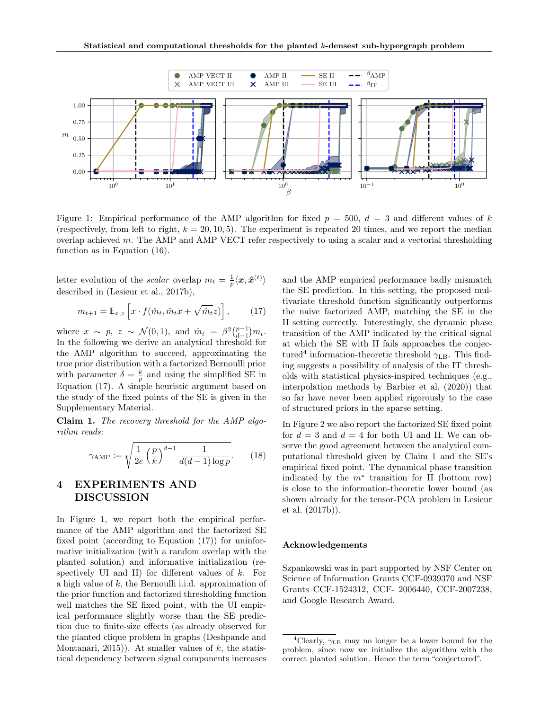

Figure 1: Empirical performance of the AMP algorithm for fixed  $p = 500$ ,  $d = 3$  and different values of k (respectively, from left to right,  $k = 20, 10, 5$ ). The experiment is repeated 20 times, and we report the median overlap achieved  $m$ . The AMP and AMP VECT refer respectively to using a scalar and a vectorial thresholding function as in Equation (16).

letter evolution of the *scalar* overlap  $m_t = \frac{1}{p} \langle x, \hat{x}^{(t)} \rangle$ described in (Lesieur et al., 2017b),

$$
m_{t+1} = \mathbb{E}_{x,z} \left[ x \cdot f(\hat{m}_t, \hat{m}_t x + \sqrt{\hat{m}_t} z) \right],\tag{17}
$$

where  $x \sim p$ ,  $z \sim \mathcal{N}(0, 1)$ , and  $\hat{m}_t = \beta^2 \binom{p-1}{d-1} m_t$ . In the following we derive an analytical threshold for the AMP algorithm to succeed, approximating the true prior distribution with a factorized Bernoulli prior with parameter  $\delta = \frac{k}{p}$  and using the simplified SE in Equation (17). A simple heuristic argument based on the study of the fixed points of the SE is given in the Supplementary Material.

Claim 1. The recovery threshold for the AMP algorithm reads:

$$
\gamma_{\text{AMP}} \coloneqq \sqrt{\frac{1}{2e} \left(\frac{p}{k}\right)^{d-1} \frac{1}{d(d-1)\log p}}.\tag{18}
$$

## 4 EXPERIMENTS AND DISCUSSION

In Figure 1, we report both the empirical performance of the AMP algorithm and the factorized SE fixed point (according to Equation (17)) for uninformative initialization (with a random overlap with the planted solution) and informative initialization (respectively UI and II) for different values of  $k$ . For a high value of k, the Bernoulli i.i.d. approximation of the prior function and factorized thresholding function well matches the SE fixed point, with the UI empirical performance slightly worse than the SE prediction due to finite-size effects (as already observed for the planted clique problem in graphs (Deshpande and Montanari, 2015)). At smaller values of  $k$ , the statistical dependency between signal components increases and the AMP empirical performance badly mismatch the SE prediction. In this setting, the proposed multivariate threshold function significantly outperforms the naive factorized AMP, matching the SE in the II setting correctly. Interestingly, the dynamic phase transition of the AMP indicated by the critical signal at which the SE with II fails approaches the conjectured<sup>4</sup> information-theoretic threshold  $\gamma_{\text{LB}}$ . This finding suggests a possibility of analysis of the IT thresholds with statistical physics-inspired techniques (e.g., interpolation methods by Barbier et al. (2020)) that so far have never been applied rigorously to the case of structured priors in the sparse setting.

In Figure 2 we also report the factorized SE fixed point for  $d = 3$  and  $d = 4$  for both UI and II. We can observe the good agreement between the analytical computational threshold given by Claim 1 and the SE's empirical fixed point. The dynamical phase transition indicated by the  $m^*$  transition for II (bottom row) is close to the information-theoretic lower bound (as shown already for the tensor-PCA problem in Lesieur et al. (2017b)).

## Acknowledgements

Szpankowski was in part supported by NSF Center on Science of Information Grants CCF-0939370 and NSF Grants CCF-1524312, CCF- 2006440, CCF-2007238, and Google Research Award.

<sup>&</sup>lt;sup>4</sup>Clearly,  $\gamma$ <sub>LB</sub> may no longer be a lower bound for the problem, since now we initialize the algorithm with the correct planted solution. Hence the term "conjectured".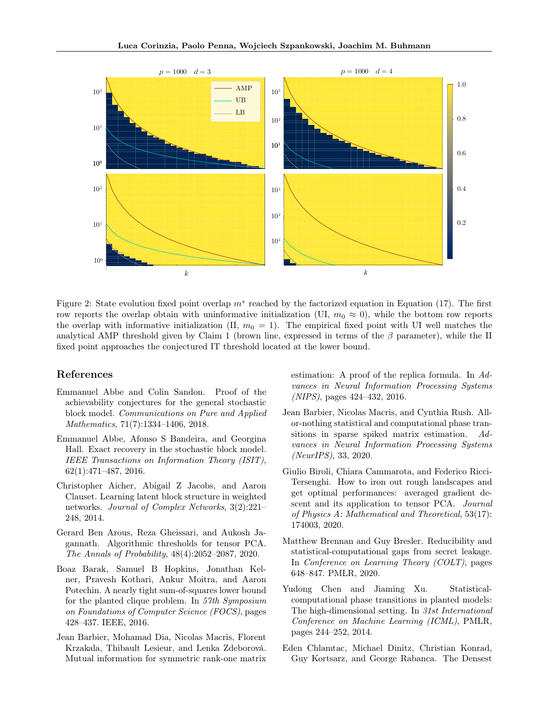

Figure 2: State evolution fixed point overlap  $m^*$  reached by the factorized equation in Equation (17). The first row reports the overlap obtain with uninformative initialization (UI,  $m_0 \approx 0$ ), while the bottom row reports the overlap with informative initialization (II,  $m_0 = 1$ ). The empirical fixed point with UI well matches the analytical AMP threshold given by Claim 1 (brown line, expressed in terms of the  $\beta$  parameter), while the II fixed point approaches the conjectured IT threshold located at the lower bound.

## References

- Emmanuel Abbe and Colin Sandon. Proof of the achievability conjectures for the general stochastic block model. Communications on Pure and Applied Mathematics, 71(7):1334–1406, 2018.
- Emmanuel Abbe, Afonso S Bandeira, and Georgina Hall. Exact recovery in the stochastic block model. IEEE Transactions on Information Theory (ISIT), 62(1):471–487, 2016.
- Christopher Aicher, Abigail Z Jacobs, and Aaron Clauset. Learning latent block structure in weighted networks. Journal of Complex Networks, 3(2):221– 248, 2014.
- Gerard Ben Arous, Reza Gheissari, and Aukosh Jagannath. Algorithmic thresholds for tensor PCA. The Annals of Probability, 48(4):2052–2087, 2020.
- Boaz Barak, Samuel B Hopkins, Jonathan Kelner, Pravesh Kothari, Ankur Moitra, and Aaron Potechin. A nearly tight sum-of-squares lower bound for the planted clique problem. In 57th Symposium on Foundations of Computer Science (FOCS), pages 428–437. IEEE, 2016.
- Jean Barbier, Mohamad Dia, Nicolas Macris, Florent Krzakala, Thibault Lesieur, and Lenka Zdeborová. Mutual information for symmetric rank-one matrix

estimation: A proof of the replica formula. In Advances in Neural Information Processing Systems (NIPS), pages 424–432, 2016.

- Jean Barbier, Nicolas Macris, and Cynthia Rush. Allor-nothing statistical and computational phase transitions in sparse spiked matrix estimation. Advances in Neural Information Processing Systems (NeurIPS), 33, 2020.
- Giulio Biroli, Chiara Cammarota, and Federico Ricci-Tersenghi. How to iron out rough landscapes and get optimal performances: averaged gradient descent and its application to tensor PCA. Journal of Physics A: Mathematical and Theoretical, 53(17): 174003, 2020.
- Matthew Brennan and Guy Bresler. Reducibility and statistical-computational gaps from secret leakage. In Conference on Learning Theory (COLT), pages 648–847. PMLR, 2020.
- Yudong Chen and Jiaming Xu. Statisticalcomputational phase transitions in planted models: The high-dimensional setting. In 31st International Conference on Machine Learning (ICML), PMLR, pages 244–252, 2014.
- Eden Chlamtac, Michael Dinitz, Christian Konrad, Guy Kortsarz, and George Rabanca. The Densest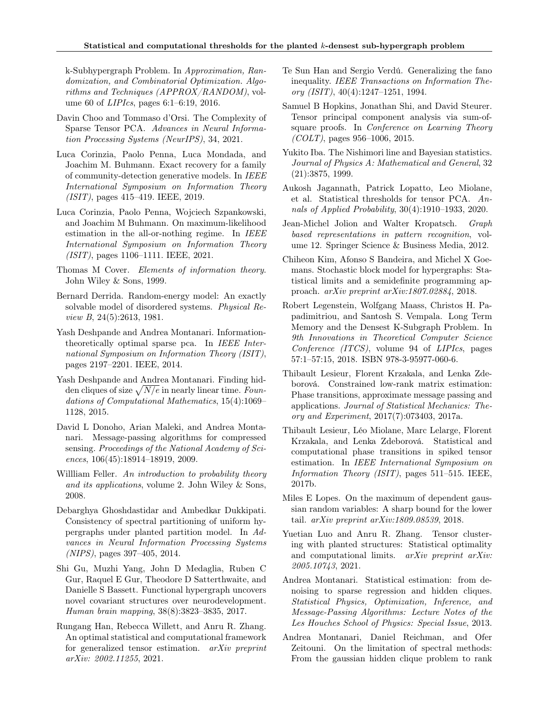k-Subhypergraph Problem. In Approximation, Randomization, and Combinatorial Optimization. Algorithms and Techniques (APPROX/RANDOM), volume 60 of LIPIcs, pages 6:1–6:19, 2016.

- Davin Choo and Tommaso d'Orsi. The Complexity of Sparse Tensor PCA. Advances in Neural Information Processing Systems (NeurIPS), 34, 2021.
- Luca Corinzia, Paolo Penna, Luca Mondada, and Joachim M. Buhmann. Exact recovery for a family of community-detection generative models. In IEEE International Symposium on Information Theory (ISIT), pages 415–419. IEEE, 2019.
- Luca Corinzia, Paolo Penna, Wojciech Szpankowski, and Joachim M Buhmann. On maximum-likelihood estimation in the all-or-nothing regime. In IEEE International Symposium on Information Theory (ISIT), pages 1106–1111. IEEE, 2021.
- Thomas M Cover. Elements of information theory. John Wiley & Sons, 1999.
- Bernard Derrida. Random-energy model: An exactly solvable model of disordered systems. Physical Review B, 24(5):2613, 1981.
- Yash Deshpande and Andrea Montanari. Informationtheoretically optimal sparse pca. In IEEE International Symposium on Information Theory (ISIT), pages 2197–2201. IEEE, 2014.
- Yash Deshpande and Andrea Montanari. Finding hidden cliques of size  $\sqrt{N/e}$  in nearly linear time. Foundations of Computational Mathematics, 15(4):1069– 1128, 2015.
- David L Donoho, Arian Maleki, and Andrea Montanari. Message-passing algorithms for compressed sensing. Proceedings of the National Academy of Sciences, 106(45):18914–18919, 2009.
- Willliam Feller. An introduction to probability theory and its applications, volume 2. John Wiley & Sons, 2008.
- Debarghya Ghoshdastidar and Ambedkar Dukkipati. Consistency of spectral partitioning of uniform hypergraphs under planted partition model. In Advances in Neural Information Processing Systems (NIPS), pages 397–405, 2014.
- Shi Gu, Muzhi Yang, John D Medaglia, Ruben C Gur, Raquel E Gur, Theodore D Satterthwaite, and Danielle S Bassett. Functional hypergraph uncovers novel covariant structures over neurodevelopment. Human brain mapping, 38(8):3823–3835, 2017.
- Rungang Han, Rebecca Willett, and Anru R. Zhang. An optimal statistical and computational framework for generalized tensor estimation. arXiv preprint arXiv: 2002.11255, 2021.
- Te Sun Han and Sergio Verdú. Generalizing the fano inequality. IEEE Transactions on Information Theory (ISIT),  $40(4):1247-1251$ , 1994.
- Samuel B Hopkins, Jonathan Shi, and David Steurer. Tensor principal component analysis via sum-ofsquare proofs. In Conference on Learning Theory  $(COLT)$ , pages 956–1006, 2015.
- Yukito Iba. The Nishimori line and Bayesian statistics. Journal of Physics A: Mathematical and General, 32 (21):3875, 1999.
- Aukosh Jagannath, Patrick Lopatto, Leo Miolane, et al. Statistical thresholds for tensor PCA. Annals of Applied Probability, 30(4):1910–1933, 2020.
- Jean-Michel Jolion and Walter Kropatsch. Graph based representations in pattern recognition, volume 12. Springer Science & Business Media, 2012.
- Chiheon Kim, Afonso S Bandeira, and Michel X Goemans. Stochastic block model for hypergraphs: Statistical limits and a semidefinite programming approach. arXiv preprint arXiv:1807.02884, 2018.
- Robert Legenstein, Wolfgang Maass, Christos H. Papadimitriou, and Santosh S. Vempala. Long Term Memory and the Densest K-Subgraph Problem. In 9th Innovations in Theoretical Computer Science Conference (ITCS), volume 94 of LIPIcs, pages 57:1–57:15, 2018. ISBN 978-3-95977-060-6.
- Thibault Lesieur, Florent Krzakala, and Lenka Zdeborová. Constrained low-rank matrix estimation: Phase transitions, approximate message passing and applications. Journal of Statistical Mechanics: Theory and Experiment, 2017(7):073403, 2017a.
- Thibault Lesieur, Léo Miolane, Marc Lelarge, Florent Krzakala, and Lenka Zdeborová. Statistical and computational phase transitions in spiked tensor estimation. In IEEE International Symposium on Information Theory (ISIT), pages 511–515. IEEE, 2017b.
- Miles E Lopes. On the maximum of dependent gaussian random variables: A sharp bound for the lower tail. arXiv preprint arXiv:1809.08539, 2018.
- Yuetian Luo and Anru R. Zhang. Tensor clustering with planted structures: Statistical optimality and computational limits. *arXiv preprint arXiv*: 2005.10743, 2021.
- Andrea Montanari. Statistical estimation: from denoising to sparse regression and hidden cliques. Statistical Physics, Optimization, Inference, and Message-Passing Algorithms: Lecture Notes of the Les Houches School of Physics: Special Issue, 2013.
- Andrea Montanari, Daniel Reichman, and Ofer Zeitouni. On the limitation of spectral methods: From the gaussian hidden clique problem to rank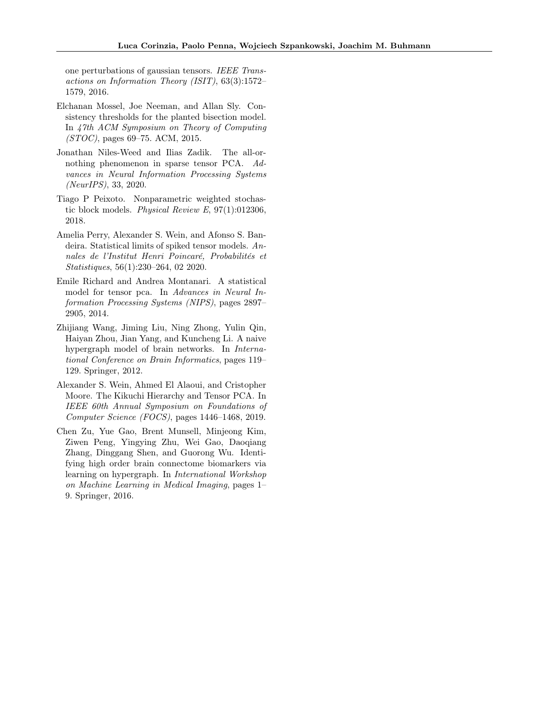one perturbations of gaussian tensors. IEEE Transactions on Information Theory (ISIT), 63(3):1572– 1579, 2016.

- Elchanan Mossel, Joe Neeman, and Allan Sly. Consistency thresholds for the planted bisection model. In 47th ACM Symposium on Theory of Computing (STOC), pages 69–75. ACM, 2015.
- Jonathan Niles-Weed and Ilias Zadik. The all-ornothing phenomenon in sparse tensor PCA. Advances in Neural Information Processing Systems (NeurIPS), 33, 2020.
- Tiago P Peixoto. Nonparametric weighted stochastic block models. *Physical Review E*,  $97(1):012306$ , 2018.
- Amelia Perry, Alexander S. Wein, and Afonso S. Bandeira. Statistical limits of spiked tensor models. Annales de l'Institut Henri Poincaré, Probabilités et Statistiques, 56(1):230–264, 02 2020.
- Emile Richard and Andrea Montanari. A statistical model for tensor pca. In Advances in Neural Information Processing Systems (NIPS), pages 2897– 2905, 2014.
- Zhijiang Wang, Jiming Liu, Ning Zhong, Yulin Qin, Haiyan Zhou, Jian Yang, and Kuncheng Li. A naive hypergraph model of brain networks. In International Conference on Brain Informatics, pages 119– 129. Springer, 2012.
- Alexander S. Wein, Ahmed El Alaoui, and Cristopher Moore. The Kikuchi Hierarchy and Tensor PCA. In IEEE 60th Annual Symposium on Foundations of Computer Science (FOCS), pages 1446–1468, 2019.
- Chen Zu, Yue Gao, Brent Munsell, Minjeong Kim, Ziwen Peng, Yingying Zhu, Wei Gao, Daoqiang Zhang, Dinggang Shen, and Guorong Wu. Identifying high order brain connectome biomarkers via learning on hypergraph. In International Workshop on Machine Learning in Medical Imaging, pages 1– 9. Springer, 2016.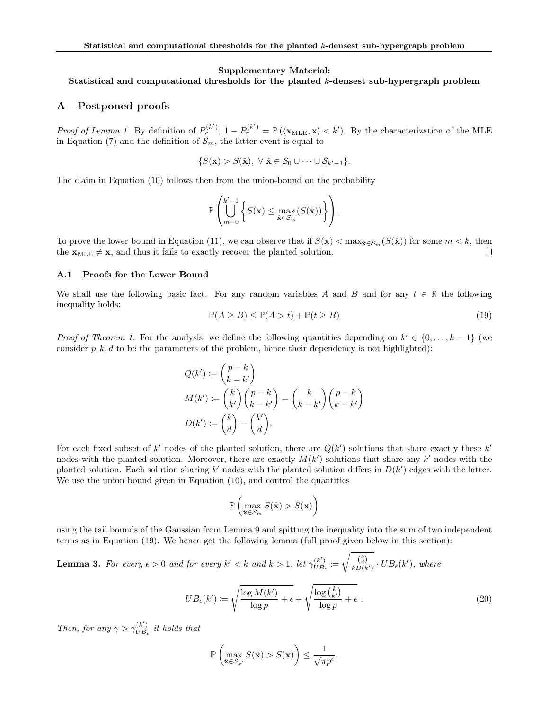#### Supplementary Material:

## Statistical and computational thresholds for the planted  $k$ -densest sub-hypergraph problem

## A Postponed proofs

Proof of Lemma 1. By definition of  $P_r^{(k')}$ ,  $1 - P_r^{(k')} = \mathbb{P}(\langle \mathbf{x}_{MLE}, \mathbf{x} \rangle < k')$ . By the characterization of the MLE in Equation (7) and the definition of  $\mathcal{S}_m$ , the latter event is equal to

$$
\{S(\mathbf{x}) > S(\hat{\mathbf{x}}), \ \forall \ \hat{\mathbf{x}} \in \mathcal{S}_0 \cup \cdots \cup \mathcal{S}_{k'-1}\}.
$$

The claim in Equation (10) follows then from the union-bound on the probability

$$
\mathbb{P}\left(\bigcup_{m=0}^{k'-1}\left\{S(\mathbf{x})\leq \max_{\hat{\mathbf{x}}\in\mathcal{S}_m}(S(\hat{\mathbf{x}}))\right\}\right).
$$

To prove the lower bound in Equation (11), we can observe that if  $S(\mathbf{x}) < \max_{\hat{\mathbf{x}} \in \mathcal{S}_m} (S(\hat{\mathbf{x}}))$  for some  $m < k$ , then the  $\mathbf{x}_{MLE} \neq \mathbf{x}$ , and thus it fails to exactly recover the planted solution. П

## A.1 Proofs for the Lower Bound

We shall use the following basic fact. For any random variables A and B and for any  $t \in \mathbb{R}$  the following inequality holds:

$$
\mathbb{P}(A \ge B) \le \mathbb{P}(A > t) + \mathbb{P}(t \ge B) \tag{19}
$$

*Proof of Theorem 1.* For the analysis, we define the following quantities depending on  $k' \in \{0, \ldots, k-1\}$  (we consider  $p, k, d$  to be the parameters of the problem, hence their dependency is not highlighted):

$$
Q(k') := {p-k \choose k-k'}
$$
  
\n
$$
M(k') := {k \choose k'} {p-k \choose k-k'} = {k \choose k-k'} {p-k \choose k-k'}
$$
  
\n
$$
D(k') := {k \choose d} - {k' \choose d}.
$$

For each fixed subset of k' nodes of the planted solution, there are  $Q(k')$  solutions that share exactly these k' nodes with the planted solution. Moreover, there are exactly  $M(k')$  solutions that share any  $k'$  nodes with the planted solution. Each solution sharing  $k'$  nodes with the planted solution differs in  $D(k')$  edges with the latter. We use the union bound given in Equation (10), and control the quantities

$$
\mathbb{P}\left(\max_{\hat{\mathbf{x}} \in \mathcal{S}_m} S(\hat{\mathbf{x}}) > S(\mathbf{x})\right)
$$

using the tail bounds of the Gaussian from Lemma 9 and spitting the inequality into the sum of two independent terms as in Equation (19). We hence get the following lemma (full proof given below in this section):

**Lemma 3.** For every  $\epsilon > 0$  and for every  $k' < k$  and  $k > 1$ , let  $\gamma_{UB}^{(k')}$  $U_{B_{\epsilon}}^{(k)} \coloneqq$  $\sqrt{\frac{\binom{k}{d}}{kD(k')}} \cdot UB_{\epsilon}(k'),$  where

$$
UB_{\epsilon}(k') := \sqrt{\frac{\log M(k')}{\log p} + \epsilon} + \sqrt{\frac{\log {k \choose k'}}{\log p} + \epsilon}.
$$
\n(20)

Then, for any  $\gamma > \gamma_{UB}^{(k')}$  $\bigcup_{UB_{\epsilon}}^{(\kappa)}$  it holds that

$$
\mathbb{P}\left(\max_{\hat{\mathbf{x}} \in \mathcal{S}_{k'}} S(\hat{\mathbf{x}}) > S(\mathbf{x})\right) \leq \frac{1}{\sqrt{\pi}p^{\epsilon}}.
$$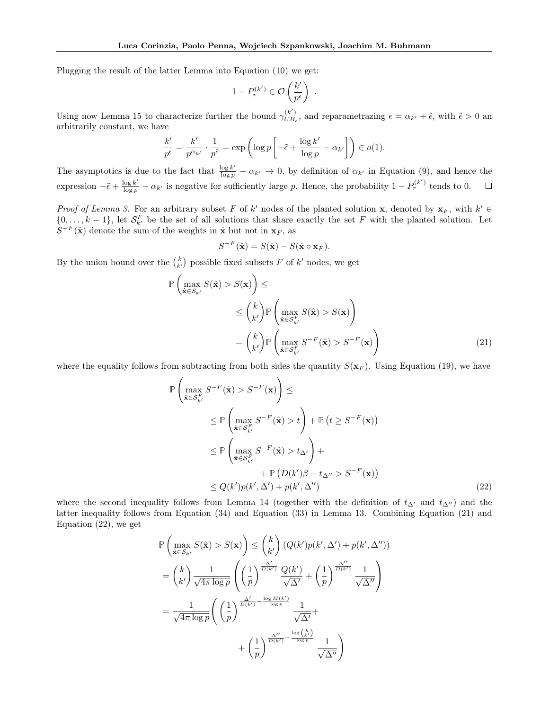Plugging the result of the latter Lemma into Equation (10) we get:

$$
1-P_r^{(k')}\in \mathcal{O}\left(\frac{k'}{p^\epsilon}\right)\;.
$$

Using now Lemma 15 to characterize further the bound  $\gamma_{UB}^{(k')}$  $\mathcal{L}_{UB_{\epsilon}}^{(\kappa)}$ , and reparametrazing  $\epsilon = \alpha_{k'} + \tilde{\epsilon}$ , with  $\tilde{\epsilon} > 0$  and arbitrarily constant, we have

$$
\frac{k'}{p^{\epsilon}} = \frac{k'}{p^{\alpha_{k'}}} \cdot \frac{1}{p^{\tilde{\epsilon}}} = \exp\left(\log p \left[-\tilde{\epsilon} + \frac{\log k'}{\log p} - \alpha_{k'}\right]\right) \in o(1).
$$

The asymptotics is due to the fact that  $\frac{\log k'}{\log p} - \alpha_{k'} \to 0$ , by definition of  $\alpha_{k'}$  in Equation (9), and hence the expression  $-\tilde{\epsilon} + \frac{\log k'}{\log p} - \alpha_{k'}$  is negative for sufficiently large p. Hence, the probability  $1 - P_r^{(k')}$  tends to 0.  $\Box$ 

Proof of Lemma 3. For an arbitrary subset F of k' nodes of the planted solution x, denoted by  $x_F$ , with  $k' \in$  $\{0,\ldots,k-1\}$ , let  $\mathcal{S}_{k'}^F$  be the set of all solutions that share exactly the set F with the planted solution. Let  $S^{-F}(\hat{\mathbf{x}})$  denote the sum of the weights in  $\hat{\mathbf{x}}$  but not in  $\mathbf{x}_F$ , as

$$
S^{-F}(\hat{\mathbf{x}}) = S(\hat{\mathbf{x}}) - S(\hat{\mathbf{x}} \circ \mathbf{x}_F).
$$

By the union bound over the  $\binom{k}{k'}$  possible fixed subsets F of  $k'$  nodes, we get

$$
\mathbb{P}\left(\max_{\hat{\mathbf{x}} \in S_{k'}} S(\hat{\mathbf{x}}) > S(\mathbf{x})\right) \le \le \binom{k}{k'} \mathbb{P}\left(\max_{\hat{\mathbf{x}} \in S_{k'}^{F}} S(\hat{\mathbf{x}}) > S(\mathbf{x})\right)
$$

$$
= \binom{k}{k'} \mathbb{P}\left(\max_{\hat{\mathbf{x}} \in S_{k'}^{F}} S^{-F}(\hat{\mathbf{x}}) > S^{-F}(\mathbf{x})\right) \tag{21}
$$

where the equality follows from subtracting from both sides the quantity  $S(\mathbf{x}_F)$ . Using Equation (19), we have

$$
\mathbb{P}\left(\max_{\hat{\mathbf{x}} \in S_F^F} S^{-F}(\hat{\mathbf{x}}) > S^{-F}(\mathbf{x})\right) \le
$$
\n
$$
\leq \mathbb{P}\left(\max_{\hat{\mathbf{x}} \in S_F^F} S^{-F}(\hat{\mathbf{x}}) > t\right) + \mathbb{P}\left(t \geq S^{-F}(\mathbf{x})\right)
$$
\n
$$
\leq \mathbb{P}\left(\max_{\hat{\mathbf{x}} \in S_F^F} S^{-F}(\hat{\mathbf{x}}) > t_{\Delta'}\right) + \mathbb{P}\left(D(k')\beta - t_{\Delta''} > S^{-F}(\mathbf{x})\right)
$$
\n
$$
\leq Q(k')p(k', \Delta') + p(k', \Delta'')
$$
\n(22)

where the second inequality follows from Lemma 14 (together with the definition of  $t_{\Delta'}$  and  $t_{\Delta''}$ ) and the latter inequality follows from Equation (34) and Equation (33) in Lemma 13. Combining Equation (21) and Equation (22), we get

$$
\mathbb{P}\left(\max_{\hat{\mathbf{x}} \in \mathcal{S}_{k'}} S(\hat{\mathbf{x}}) > S(\mathbf{x})\right) \leq {k \choose k'} \left(Q(k')p(k',\Delta') + p(k',\Delta'')\right)
$$
\n
$$
= {k \choose k'} \frac{1}{\sqrt{4\pi \log p}} \left(\left(\frac{1}{p}\right)^{\frac{\Delta'}{D(k')}} \frac{Q(k')}{\sqrt{\Delta'}} + \left(\frac{1}{p}\right)^{\frac{\Delta''}{D(k')}} \frac{1}{\sqrt{\Delta''}}\right)
$$
\n
$$
= \frac{1}{\sqrt{4\pi \log p}} \left(\left(\frac{1}{p}\right)^{\frac{\Delta'}{D(k')}} \frac{\frac{\Delta''}{\log p}}{\sqrt{\Delta'}} \frac{1}{\sqrt{\Delta'}} + \left(\frac{1}{p}\right)^{\frac{\Delta''}{D(k')} - \frac{\log(K')}{\log p}} \frac{1}{\sqrt{\Delta''}} + \left(\frac{1}{p}\right)^{\frac{\Delta''}{D(k')} - \frac{\log(k)}{\log p}} \frac{1}{\sqrt{\Delta''}}\right)
$$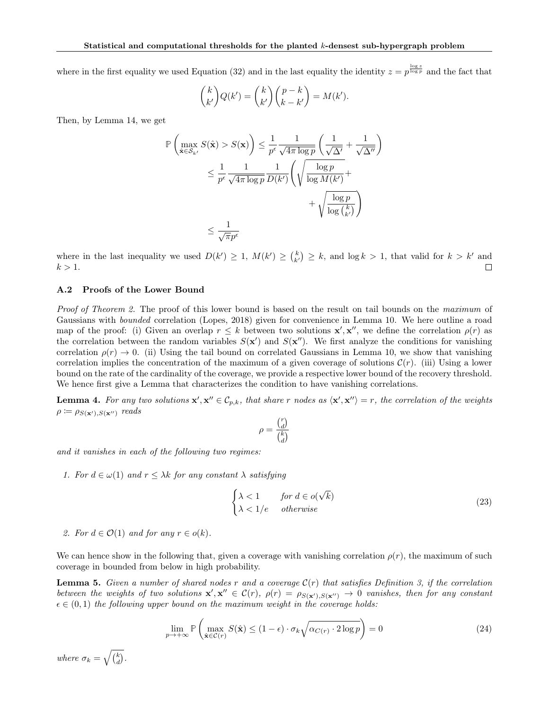where in the first equality we used Equation (32) and in the last equality the identity  $z = p^{\frac{\log z}{\log p}}$  and the fact that

$$
\binom{k}{k'}Q(k') = \binom{k}{k'}\binom{p-k}{k-k'} = M(k').
$$

Then, by Lemma 14, we get

$$
\mathbb{P}\left(\max_{\hat{\mathbf{x}} \in \mathcal{S}_{k'}} S(\hat{\mathbf{x}}) > S(\mathbf{x})\right) \leq \frac{1}{p^{\epsilon}} \frac{1}{\sqrt{4\pi \log p}} \left(\frac{1}{\sqrt{\Delta'}} + \frac{1}{\sqrt{\Delta''}}\right)
$$
  

$$
\leq \frac{1}{p^{\epsilon}} \frac{1}{\sqrt{4\pi \log p}} \frac{1}{D(k')} \left(\sqrt{\frac{\log p}{\log M(k')}} + \sqrt{\frac{\log p}{\log {k \choose k'}}}\right)
$$
  

$$
\leq \frac{1}{\sqrt{\pi p^{\epsilon}}}
$$

where in the last inequality we used  $D(k') \geq 1$ ,  $M(k') \geq {k \choose k'} \geq k$ , and  $\log k > 1$ , that valid for  $k > k'$  and  $k > 1$ . П

#### A.2 Proofs of the Lower Bound

Proof of Theorem 2. The proof of this lower bound is based on the result on tail bounds on the maximum of Gaussians with bounded correlation (Lopes, 2018) given for convenience in Lemma 10. We here outline a road map of the proof: (i) Given an overlap  $r \leq k$  between two solutions  $\mathbf{x}', \mathbf{x}''$ , we define the correlation  $\rho(r)$  as the correlation between the random variables  $S(\mathbf{x}')$  and  $S(\mathbf{x}'')$ . We first analyze the conditions for vanishing correlation  $\rho(r) \to 0$ . (ii) Using the tail bound on correlated Gaussians in Lemma 10, we show that vanishing correlation implies the concentration of the maximum of a given coverage of solutions  $\mathcal{C}(r)$ . (iii) Using a lower bound on the rate of the cardinality of the coverage, we provide a respective lower bound of the recovery threshold. We hence first give a Lemma that characterizes the condition to have vanishing correlations.

**Lemma 4.** For any two solutions  $\mathbf{x}', \mathbf{x}'' \in C_{p,k}$ , that share r nodes as  $\langle \mathbf{x}', \mathbf{x}'' \rangle = r$ , the correlation of the weights  $\rho \coloneqq \rho_{S(\mathbf{x}'),S(\mathbf{x}'')}$  reads

$$
\rho = \frac{\binom{r}{d}}{\binom{k}{d}}
$$

and it vanishes in each of the following two regimes:

1. For  $d \in \omega(1)$  and  $r \leq \lambda k$  for any constant  $\lambda$  satisfying

$$
\begin{cases} \lambda < 1 \qquad \text{for } d \in o(\sqrt{k}) \\ \lambda < 1/e \qquad \text{otherwise} \end{cases} \tag{23}
$$

2. For  $d \in \mathcal{O}(1)$  and for any  $r \in o(k)$ .

We can hence show in the following that, given a coverage with vanishing correlation  $\rho(r)$ , the maximum of such coverage in bounded from below in high probability.

**Lemma 5.** Given a number of shared nodes r and a coverage  $\mathcal{C}(r)$  that satisfies Definition 3, if the correlation between the weights of two solutions  $\mathbf{x}', \mathbf{x}'' \in \mathcal{C}(r)$ ,  $\rho(r) = \rho_{S(\mathbf{x}'),S(\mathbf{x}'')} \to 0$  vanishes, then for any constant  $\epsilon \in (0,1)$  the following upper bound on the maximum weight in the coverage holds:

$$
\lim_{p \to +\infty} \mathbb{P}\left(\max_{\hat{\mathbf{x}} \in \mathcal{C}(r)} S(\hat{\mathbf{x}}) \le (1 - \epsilon) \cdot \sigma_k \sqrt{\alpha_{C(r)} \cdot 2 \log p}\right) = 0 \tag{24}
$$

where  $\sigma_k = \sqrt{\binom{k}{d}}$ .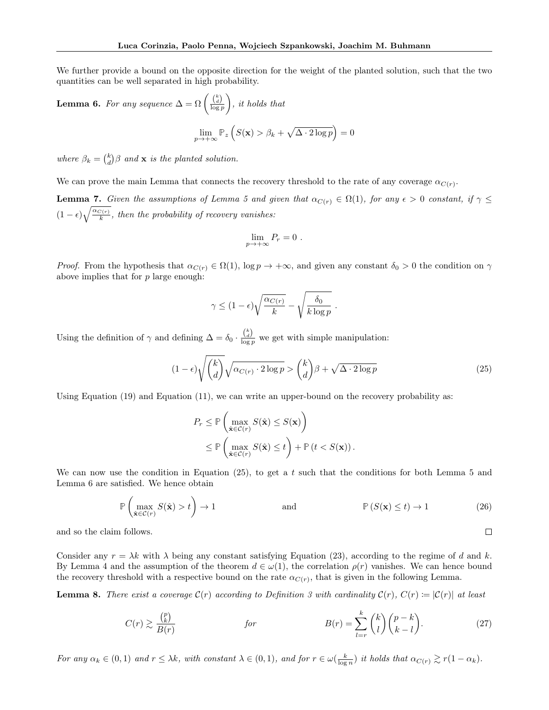We further provide a bound on the opposite direction for the weight of the planted solution, such that the two quantities can be well separated in high probability.

**Lemma 6.** For any sequence  $\Delta = \Omega \left( \frac{\binom{k}{d}}{\log p} \right)$  $\Big),$  it holds that  $\lim_{p\to+\infty}\mathbb{P}_z\left(S(\mathbf{x})>\beta_k+\sqrt{\Delta\cdot 2\log p}\right)=0$ 

where  $\beta_k = \binom{k}{d} \beta$  and **x** is the planted solution.

We can prove the main Lemma that connects the recovery threshold to the rate of any coverage  $\alpha_{C(r)}$ .

**Lemma 7.** Given the assumptions of Lemma 5 and given that  $\alpha_{C(r)} \in \Omega(1)$ , for any  $\epsilon > 0$  constant, if  $\gamma \leq$  $(1 - \epsilon) \sqrt{\frac{\alpha_{C(r)}}{k}}$ , then the probability of recovery vanishes:

$$
\lim_{p\to+\infty}P_r=0.
$$

*Proof.* From the hypothesis that  $\alpha_{C(r)} \in \Omega(1)$ ,  $\log p \to +\infty$ , and given any constant  $\delta_0 > 0$  the condition on  $\gamma$ above implies that for p large enough:

$$
\gamma \le (1 - \epsilon) \sqrt{\frac{\alpha_{C(r)}}{k}} - \sqrt{\frac{\delta_0}{k \log p}}.
$$

Using the definition of  $\gamma$  and defining  $\Delta = \delta_0 \cdot \frac{\binom{k}{d}}{\log p}$  we get with simple manipulation:

$$
(1 - \epsilon)\sqrt{\binom{k}{d}}\sqrt{\alpha_{C(r)} \cdot 2\log p} > \binom{k}{d}\beta + \sqrt{\Delta \cdot 2\log p} \tag{25}
$$

Using Equation (19) and Equation (11), we can write an upper-bound on the recovery probability as:

$$
P_r \leq \mathbb{P}\left(\max_{\hat{\mathbf{x}} \in C(r)} S(\hat{\mathbf{x}}) \leq S(\mathbf{x})\right)
$$
  
\$\leq \mathbb{P}\left(\max\_{\hat{\mathbf{x}} \in C(r)} S(\hat{\mathbf{x}}) \leq t\right) + \mathbb{P}(t < S(\mathbf{x})).

We can now use the condition in Equation  $(25)$ , to get a t such that the conditions for both Lemma 5 and Lemma 6 are satisfied. We hence obtain

$$
\mathbb{P}\left(\max_{\hat{\mathbf{x}} \in \mathcal{C}(r)} S(\hat{\mathbf{x}}) > t\right) \to 1 \qquad \text{and} \qquad \mathbb{P}\left(S(\mathbf{x}) \le t\right) \to 1 \tag{26}
$$

 $\Box$ 

and so the claim follows.

Consider any  $r = \lambda k$  with  $\lambda$  being any constant satisfying Equation (23), according to the regime of d and k. By Lemma 4 and the assumption of the theorem  $d \in \omega(1)$ , the correlation  $\rho(r)$  vanishes. We can hence bound the recovery threshold with a respective bound on the rate  $\alpha_{C(r)}$ , that is given in the following Lemma.

**Lemma 8.** There exist a coverage  $C(r)$  according to Definition 3 with cardinality  $C(r)$ ,  $C(r) := |C(r)|$  at least

$$
C(r) \gtrsim \frac{\binom{p}{k}}{B(r)} \qquad \qquad \text{for} \qquad \qquad B(r) = \sum_{l=r}^{k} \binom{k}{l} \binom{p-k}{k-l}.\tag{27}
$$

For any  $\alpha_k \in (0,1)$  and  $r \leq \lambda k$ , with constant  $\lambda \in (0,1)$ , and for  $r \in \omega(\frac{k}{\log n})$  it holds that  $\alpha_{C(r)} \gtrsim r(1-\alpha_k)$ .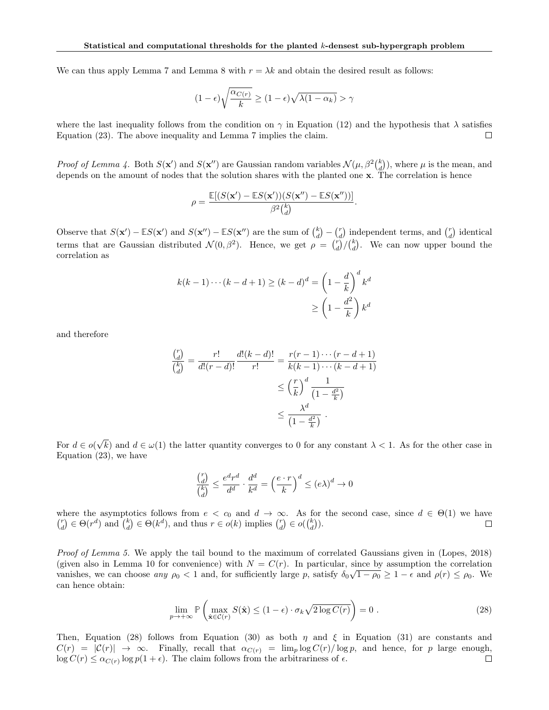We can thus apply Lemma 7 and Lemma 8 with  $r = \lambda k$  and obtain the desired result as follows:

$$
(1 - \epsilon)\sqrt{\frac{\alpha_{C(r)}}{k}} \ge (1 - \epsilon)\sqrt{\lambda(1 - \alpha_k)} > \gamma
$$

where the last inequality follows from the condition on  $\gamma$  in Equation (12) and the hypothesis that  $\lambda$  satisfies Equation (23). The above inequality and Lemma 7 implies the claim.  $\Box$ 

Proof of Lemma 4. Both  $S(\mathbf{x}')$  and  $S(\mathbf{x}'')$  are Gaussian random variables  $\mathcal{N}(\mu, \beta^2 {k \choose d})$ , where  $\mu$  is the mean, and depends on the amount of nodes that the solution shares with the planted one x. The correlation is hence

$$
\rho = \frac{\mathbb{E}[(S(\mathbf{x}') - \mathbb{E}S(\mathbf{x}'))(S(\mathbf{x}'') - \mathbb{E}S(\mathbf{x}''))]}{\beta^2 {k \choose d}}.
$$

Observe that  $S(\mathbf{x}') - \mathbb{E}S(\mathbf{x}')$  and  $S(\mathbf{x}'') - \mathbb{E}S(\mathbf{x}'')$  are the sum of  $\binom{k}{d} - \binom{r}{d}$  independent terms, and  $\binom{r}{d}$  identical terms that are Gaussian distributed  $\mathcal{N}(0, \beta^2)$ . Hence, we get  $\rho = \binom{r}{d} \binom{k}{d}$ . We can now upper bound the correlation as

$$
k(k-1)\cdots(k-d+1) \ge (k-d)^d = \left(1 - \frac{d}{k}\right)^d k^d
$$

$$
\ge \left(1 - \frac{d^2}{k}\right)k^d
$$

and therefore

$$
\frac{\binom{r}{d}}{\binom{k}{d}} = \frac{r!}{d!(r-d)!} \frac{d!(k-d)!}{r!} = \frac{r(r-1)\cdots(r-d+1)}{k(k-1)\cdots(k-d+1)}
$$

$$
\leq \left(\frac{r}{k}\right)^d \frac{1}{\left(1 - \frac{d^2}{k}\right)}
$$

$$
\leq \frac{\lambda^d}{\left(1 - \frac{d^2}{k}\right)}.
$$

For  $d \in o$ ( √ k) and  $d \in \omega(1)$  the latter quantity converges to 0 for any constant  $\lambda < 1$ . As for the other case in Equation (23), we have

$$
\frac{\binom{r}{d}}{\binom{k}{d}} \le \frac{e^d r^d}{d^d} \cdot \frac{d^d}{k^d} = \left(\frac{e \cdot r}{k}\right)^d \le (e\lambda)^d \to 0
$$

where the asymptotics follows from  $e < c_0$  and  $d \to \infty$ . As for the second case, since  $d \in \Theta(1)$  we have  $\binom{r}{d} \in \Theta(r^d)$  and  $\binom{k}{d} \in \Theta(k^d)$ , and thus  $r \in o(k)$  implies  $\binom{r}{d} \in o(\binom{k}{d})$ .  $\Box$ 

Proof of Lemma 5. We apply the tail bound to the maximum of correlated Gaussians given in (Lopes, 2018) (given also in Lemma 10 for convenience) with  $N = C(r)$ . In particular, since by assumption the correlation vanishes, we can choose any  $\rho_0 < 1$  and, for sufficiently large p, satisfy  $\delta_0\sqrt{1-\rho_0} \geq 1-\epsilon$  and  $\rho(r) \leq \rho_0$ . We can hence obtain:

$$
\lim_{p \to +\infty} \mathbb{P}\left(\max_{\hat{\mathbf{x}} \in \mathcal{C}(r)} S(\hat{\mathbf{x}}) \le (1 - \epsilon) \cdot \sigma_k \sqrt{2 \log C(r)}\right) = 0.
$$
\n(28)

Then, Equation (28) follows from Equation (30) as both  $\eta$  and  $\xi$  in Equation (31) are constants and  $C(r) = |\mathcal{C}(r)| \rightarrow \infty$ . Finally, recall that  $\alpha_{C(r)} = \lim_p \log C(r)/\log p$ , and hence, for p large enough,  $\log C(r) \leq \alpha_{C(r)} \log p(1+\epsilon)$ . The claim follows from the arbitrariness of  $\epsilon$ .  $\Box$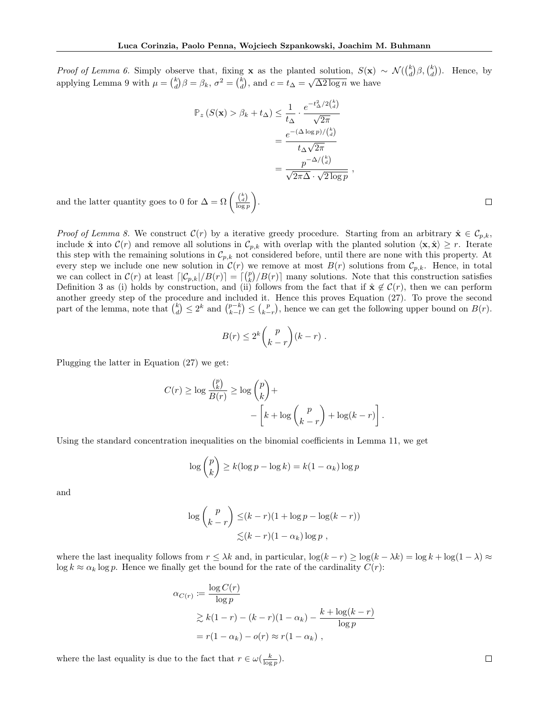*Proof of Lemma 6.* Simply observe that, fixing **x** as the planted solution,  $S(\mathbf{x}) \sim \mathcal{N}(\binom{k}{d} \beta, \binom{k}{d})$ . Hence, by applying Lemma 9 with  $\mu = \binom{k}{d} \beta = \beta_k$ ,  $\sigma^2 = \binom{k}{d}$ , and  $c = t_{\Delta} = \sqrt{\Delta^2 \log n}$  we have

$$
\mathbb{P}_z \left( S(\mathbf{x}) > \beta_k + t_\Delta \right) \leq \frac{1}{t_\Delta} \cdot \frac{e^{-t_\Delta^2/2\binom{k}{d}}}{\sqrt{2\pi}}
$$

$$
= \frac{e^{-(\Delta \log p)/\binom{k}{d}}}{t_\Delta \sqrt{2\pi}}
$$

$$
= \frac{p^{-\Delta/\binom{k}{d}}}{\sqrt{2\pi \Delta} \cdot \sqrt{2 \log p}},
$$

and the latter quantity goes to 0 for  $\Delta = \Omega \left( \frac{\binom{k}{d}}{\log p} \right)$ .

*Proof of Lemma 8.* We construct  $\mathcal{C}(r)$  by a iterative greedy procedure. Starting from an arbitrary  $\hat{\mathbf{x}} \in \mathcal{C}_{p,k}$ , include  $\hat{\mathbf{x}}$  into  $\mathcal{C}(r)$  and remove all solutions in  $\mathcal{C}_{p,k}$  with overlap with the planted solution  $\langle \mathbf{x}, \hat{\mathbf{x}} \rangle \geq r$ . Iterate this step with the remaining solutions in  $\mathcal{C}_{p,k}$  not considered before, until there are none with this property. At every step we include one new solution in  $\mathcal{C}(r)$  we remove at most  $B(r)$  solutions from  $\mathcal{C}_{p,k}$ . Hence, in total we can collect in  $\mathcal{C}(r)$  at least  $\lceil |\mathcal{C}_{p,k}|/B(r)\rceil = \lceil \binom{p}{k}/B(r)\rceil$  many solutions. Note that this construction satisfies Definition 3 as (i) holds by construction, and (ii) follows from the fact that if  $\hat{\mathbf{x}} \notin \mathcal{C}(r)$ , then we can perform another greedy step of the procedure and included it. Hence this proves Equation (27). To prove the second part of the lemma, note that  $\binom{k}{d} \leq 2^k$  and  $\binom{p-k}{k-l} \leq \binom{p}{k-r}$ , hence we can get the following upper bound on  $B(r)$ .

$$
B(r) \le 2^k {p \choose k-r} (k-r) .
$$

Plugging the latter in Equation (27) we get:

$$
C(r) \ge \log \frac{{p \choose k}}{B(r)} \ge \log \binom{p}{k} + -\left[k + \log \binom{p}{k-r} + \log(k-r)\right].
$$

Using the standard concentration inequalities on the binomial coefficients in Lemma 11, we get

$$
\log \binom{p}{k} \ge k(\log p - \log k) = k(1 - \alpha_k) \log p
$$

and

$$
\log {p \choose k-r} \le (k-r)(1+\log p - \log(k-r))
$$
  
 
$$
\le (k-r)(1-\alpha_k)\log p,
$$

where the last inequality follows from  $r \leq \lambda k$  and, in particular,  $\log(k - r) \geq \log(k - \lambda k) = \log k + \log(1 - \lambda) \approx$  $\log k \approx \alpha_k \log p$ . Hence we finally get the bound for the rate of the cardinality  $C(r)$ :

$$
\alpha_{C(r)} := \frac{\log C(r)}{\log p}
$$
  
\n
$$
\geq k(1-r) - (k-r)(1-\alpha_k) - \frac{k + \log(k-r)}{\log p}
$$
  
\n
$$
= r(1-\alpha_k) - o(r) \approx r(1-\alpha_k),
$$

where the last equality is due to the fact that  $r \in \omega(\frac{k}{\log p})$ .

 $\Box$ 

 $\Box$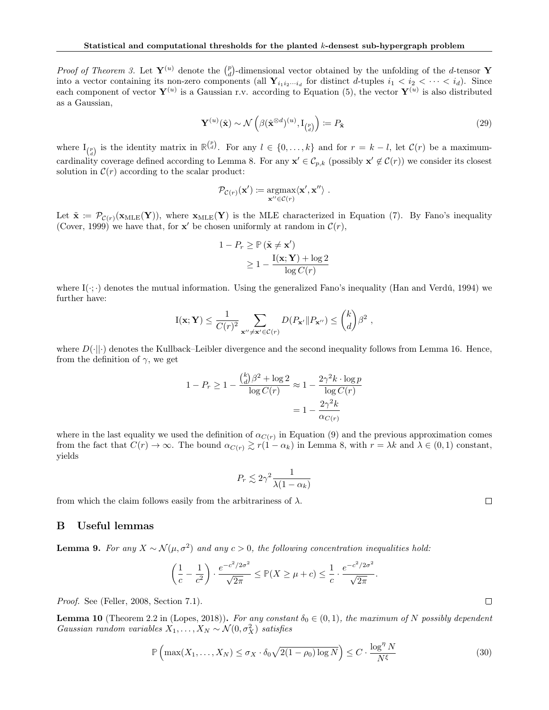*Proof of Theorem 3.* Let  $Y^{(u)}$  denote the  $\binom{p}{d}$ -dimensional vector obtained by the unfolding of the d-tensor Y into a vector containing its non-zero components (all  $Y_{i_1i_2\cdots i_d}$  for distinct d-tuples  $i_1 < i_2 < \cdots < i_d$ ). Since each component of vector  $Y^{(u)}$  is a Gaussian r.v. according to Equation (5), the vector  $Y^{(u)}$  is also distributed as a Gaussian,

$$
\mathbf{Y}^{(u)}(\hat{\mathbf{x}}) \sim \mathcal{N}\left(\beta(\hat{\mathbf{x}}^{\otimes d})^{(u)}, \mathbf{I}_{\binom{p}{d}}\right) := P_{\hat{\mathbf{x}}}\tag{29}
$$

where  $I_{\binom{p}{d}}$  is the identity matrix in  $\mathbb{R}^{\binom{p}{d}}$ . For any  $l \in \{0, \ldots, k\}$  and for  $r = k - l$ , let  $\mathcal{C}(r)$  be a maximumcardinality coverage defined according to Lemma 8. For any  $\mathbf{x}' \in \mathcal{C}_{p,k}$  (possibly  $\mathbf{x}' \notin \mathcal{C}(r)$ ) we consider its closest solution in  $\mathcal{C}(r)$  according to the scalar product:

$$
\mathcal{P}_{\mathcal{C}(r)}(\mathbf{x}') \coloneqq \underset{\mathbf{x}'' \in \mathcal{C}(r)}{\operatorname{argmax}} \langle \mathbf{x}', \mathbf{x}'' \rangle \ .
$$

Let  $\tilde{\mathbf{x}} = \mathcal{P}_{\mathcal{C}(r)}(\mathbf{x}_{MLE}(\mathbf{Y}))$ , where  $\mathbf{x}_{MLE}(\mathbf{Y})$  is the MLE characterized in Equation (7). By Fano's inequality (Cover, 1999) we have that, for  $\mathbf{x}'$  be chosen uniformly at random in  $\mathcal{C}(r)$ ,

$$
1 - P_r \ge \mathbb{P} (\tilde{\mathbf{x}} \neq \mathbf{x}') \ge 1 - \frac{\mathbf{I}(\mathbf{x}; \mathbf{Y}) + \log 2}{\log C(r)}
$$

where  $I(\cdot;\cdot)$  denotes the mutual information. Using the generalized Fano's inequality (Han and Verdú, 1994) we further have:

$$
I(\mathbf{x}; \mathbf{Y}) \leq \frac{1}{C(r)^2} \sum_{\mathbf{x}'' \neq \mathbf{x}' \in C(r)} D(P_{\mathbf{x}'} || P_{\mathbf{x}''}) \leq {k \choose d} \beta^2 ,
$$

where  $D(\cdot||\cdot)$  denotes the Kullback–Leibler divergence and the second inequality follows from Lemma 16. Hence, from the definition of  $\gamma$ , we get

$$
1 - P_r \ge 1 - \frac{\binom{k}{d} \beta^2 + \log 2}{\log C(r)} \approx 1 - \frac{2\gamma^2 k \cdot \log p}{\log C(r)}
$$

$$
= 1 - \frac{2\gamma^2 k}{\alpha_{C(r)}}
$$

where in the last equality we used the definition of  $\alpha_{C(r)}$  in Equation (9) and the previous approximation comes from the fact that  $C(r) \to \infty$ . The bound  $\alpha_{C(r)} \gtrsim r(1-\alpha_k)$  in Lemma 8, with  $r = \lambda k$  and  $\lambda \in (0,1)$  constant, yields

$$
P_r \lesssim 2\gamma^2 \frac{1}{\lambda(1-\alpha_k)}
$$

from which the claim follows easily from the arbitrariness of  $\lambda$ .

## B Useful lemmas

**Lemma 9.** For any 
$$
X \sim \mathcal{N}(\mu, \sigma^2)
$$
 and any  $c > 0$ , the following concentration inequalities hold:

$$
\left(\frac{1}{c} - \frac{1}{c^2}\right) \cdot \frac{e^{-c^2/2\sigma^2}}{\sqrt{2\pi}} \le \mathbb{P}(X \ge \mu + c) \le \frac{1}{c} \cdot \frac{e^{-c^2/2\sigma^2}}{\sqrt{2\pi}}
$$

Proof. See (Feller, 2008, Section 7.1).

**Lemma 10** (Theorem 2.2 in (Lopes, 2018)). For any constant  $\delta_0 \in (0,1)$ , the maximum of N possibly dependent Gaussian random variables  $X_1, \ldots, X_N \sim \mathcal{N}(0, \sigma_X^2)$  satisfies

$$
\mathbb{P}\left(\max(X_1,\ldots,X_N)\leq \sigma_X\cdot \delta_0\sqrt{2(1-\rho_0)\log N}\right)\leq C\cdot \frac{\log^{\eta}N}{N^{\xi}}
$$
\n(30)

.

 $\Box$ 

 $\Box$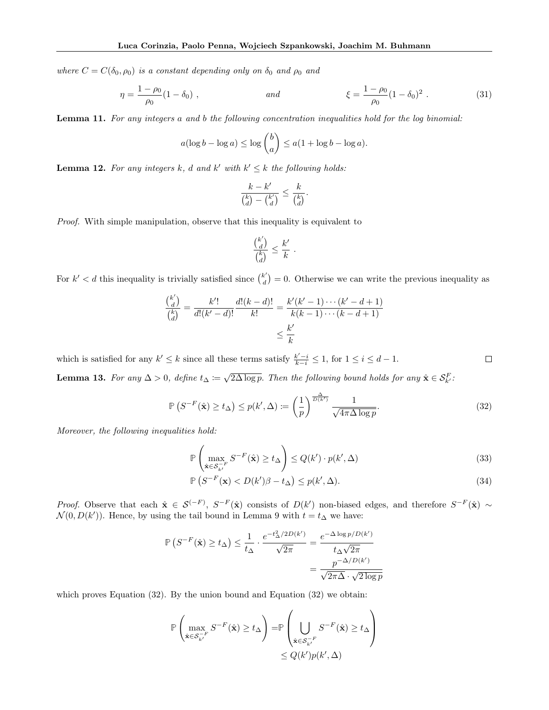where  $C = C(\delta_0, \rho_0)$  is a constant depending only on  $\delta_0$  and  $\rho_0$  and

$$
\eta = \frac{1 - \rho_0}{\rho_0} (1 - \delta_0) , \qquad \text{and} \qquad \xi = \frac{1 - \rho_0}{\rho_0} (1 - \delta_0)^2 . \tag{31}
$$

Lemma 11. For any integers a and b the following concentration inequalities hold for the log binomial:

$$
a(\log b - \log a) \le \log {b \choose a} \le a(1 + \log b - \log a).
$$

**Lemma 12.** For any integers k, d and k' with  $k' \leq k$  the following holds:

$$
\frac{k-k'}{\binom{k}{d}-\binom{k'}{d}} \leq \frac{k}{\binom{k}{d}}.
$$

Proof. With simple manipulation, observe that this inequality is equivalent to

$$
\frac{\binom{k'}{d}}{\binom{k}{d}} \leq \frac{k'}{k} \ .
$$

For  $k' < d$  this inequality is trivially satisfied since  $\binom{k'}{d}$  $\mathbf{d}^{(k)}_d$  = 0. Otherwise we can write the previous inequality as

$$
\frac{\binom{k'}{d}}{\binom{k}{d}} = \frac{k'!}{d!(k'-d)!} \frac{d!(k-d)!}{k!} = \frac{k'(k'-1)\cdots(k'-d+1)}{k(k-1)\cdots(k-d+1)} \le \frac{k'}{k}
$$

which is satisfied for any  $k' \leq k$  since all these terms satisfy  $\frac{k'-i}{k-i} \leq 1$ , for  $1 \leq i \leq d-1$ .  $\Box$ **Lemma 13.** For any  $\Delta > 0$ , define  $t_{\Delta} := \sqrt{2\Delta \log p}$ . Then the following bound holds for any  $\hat{\mathbf{x}} \in \mathcal{S}_{k'}^F$ .

$$
\mathbb{P}\left(S^{-F}(\hat{\mathbf{x}}) \ge t_{\Delta}\right) \le p(k', \Delta) := \left(\frac{1}{p}\right)^{\frac{\Delta}{D(k')}} \frac{1}{\sqrt{4\pi\Delta\log p}}.\tag{32}
$$

Moreover, the following inequalities hold:

$$
\mathbb{P}\left(\max_{\hat{\mathbf{x}} \in \mathcal{S}_{k'}^{-F}} S^{-F}(\hat{\mathbf{x}}) \ge t_{\Delta}\right) \le Q(k') \cdot p(k', \Delta)
$$
\n(33)

$$
\mathbb{P}\left(S^{-F}(\mathbf{x}) < D(k')\beta - t_{\Delta}\right) \le p(k', \Delta). \tag{34}
$$

*Proof.* Observe that each  $\hat{\mathbf{x}} \in \mathcal{S}^{(-F)}$ ,  $S^{-F}(\hat{\mathbf{x}})$  consists of  $D(k')$  non-biased edges, and therefore  $S^{-F}(\hat{\mathbf{x}}) \sim$  $\mathcal{N}(0, D(k'))$ . Hence, by using the tail bound in Lemma 9 with  $t = t_{\Delta}$  we have:

$$
\mathbb{P}\left(S^{-F}(\hat{\mathbf{x}}) \ge t_{\Delta}\right) \le \frac{1}{t_{\Delta}} \cdot \frac{e^{-t_{\Delta}^2/2D(k')}}{\sqrt{2\pi}} = \frac{e^{-\Delta \log p/D(k')}}{t_{\Delta}\sqrt{2\pi}}
$$

$$
= \frac{p^{-\Delta/D(k')}}{\sqrt{2\pi\Delta} \cdot \sqrt{2\log p}}
$$

which proves Equation (32). By the union bound and Equation (32) we obtain:

$$
\mathbb{P}\left(\max_{\hat{\mathbf{x}} \in \mathcal{S}_{k'}^{-F}} S^{-F}(\hat{\mathbf{x}}) \ge t_{\Delta}\right) = \mathbb{P}\left(\bigcup_{\hat{\mathbf{x}} \in \mathcal{S}_{k'}^{-F}} S^{-F}(\hat{\mathbf{x}}) \ge t_{\Delta}\right) \le Q(k')p(k', \Delta)
$$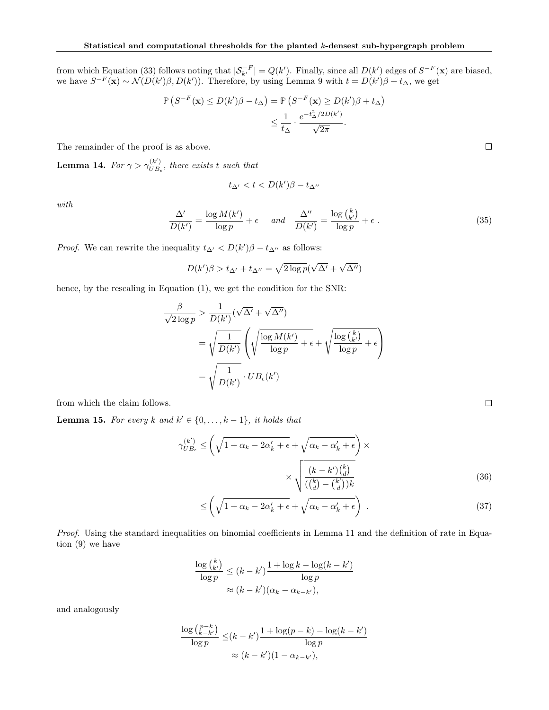from which Equation (33) follows noting that  $|\mathcal{S}_{k'}^{-F}| = Q(k')$ . Finally, since all  $D(k')$  edges of  $S^{-F}(\mathbf{x})$  are biased, we have  $S^{-F}(\mathbf{x}) \sim \mathcal{N}(D(k')\beta, D(k'))$ . Therefore, by using Lemma 9 with  $t = D(k')\beta + t_{\Delta}$ , we get

$$
\mathbb{P}\left(S^{-F}(\mathbf{x}) \le D(k')\beta - t_{\Delta}\right) = \mathbb{P}\left(S^{-F}(\mathbf{x}) \ge D(k')\beta + t_{\Delta}\right)
$$

$$
\le \frac{1}{t_{\Delta}} \cdot \frac{e^{-t_{\Delta}^2/2D(k')}}{\sqrt{2\pi}}.
$$

The remainder of the proof is as above.

Lemma 14. For  $\gamma > \gamma_{UB}^{(k')}$  $\bigcup_{UB_{\epsilon}}^{(\kappa)}$ , there exists t such that

$$
t_{\Delta'} < t < D(k')\beta - t_{\Delta''}
$$

with

$$
\frac{\Delta'}{D(k')} = \frac{\log M(k')}{\log p} + \epsilon \quad \text{and} \quad \frac{\Delta''}{D(k')} = \frac{\log {k \choose k'}}{\log p} + \epsilon \tag{35}
$$

*Proof.* We can rewrite the inequality  $t_{\Delta'} < D(k')\beta - t_{\Delta''}$  as follows:

$$
D(k')\beta > t_{\Delta'} + t_{\Delta''} = \sqrt{2\log p}(\sqrt{\Delta'} + \sqrt{\Delta''})
$$

hence, by the rescaling in Equation  $(1)$ , we get the condition for the SNR:

$$
\frac{\beta}{\sqrt{2 \log p}} > \frac{1}{D(k')} (\sqrt{\Delta'} + \sqrt{\Delta''})
$$
  
=  $\sqrt{\frac{1}{D(k')}} \left( \sqrt{\frac{\log M(k')}{\log p}} + \epsilon + \sqrt{\frac{\log {k \choose k'}}{\log p}} + \epsilon \right)$   
=  $\sqrt{\frac{1}{D(k')}} \cdot UB_{\epsilon}(k')$ 

from which the claim follows.

**Lemma 15.** For every k and  $k' \in \{0, \ldots, k-1\}$ , it holds that

$$
\gamma_{UB_{\epsilon}}^{(k')} \le \left(\sqrt{1 + \alpha_k - 2\alpha_k' + \epsilon} + \sqrt{\alpha_k - \alpha_k' + \epsilon}\right) \times \sqrt{\frac{(k - k')\binom{k}{d}}{\binom{k}{d} - \binom{k'}{d}}}
$$
\n(36)

$$
\leq \left(\sqrt{1+\alpha_k-2\alpha'_k+\epsilon}+\sqrt{\alpha_k-\alpha'_k+\epsilon}\right) \ . \tag{37}
$$

Proof. Using the standard inequalities on binomial coefficients in Lemma 11 and the definition of rate in Equation (9) we have

$$
\frac{\log {k \choose k'}}{\log p} \le (k - k') \frac{1 + \log k - \log(k - k')}{\log p}
$$

$$
\approx (k - k') (\alpha_k - \alpha_{k - k'}),
$$

and analogously

$$
\frac{\log {p-k \choose k-k'}}{\log p} \le (k - k') \frac{1 + \log(p-k) - \log(k-k')}{\log p}
$$

$$
\approx (k - k')(1 - \alpha_{k-k'}),
$$

 $\Box$ 

 $\Box$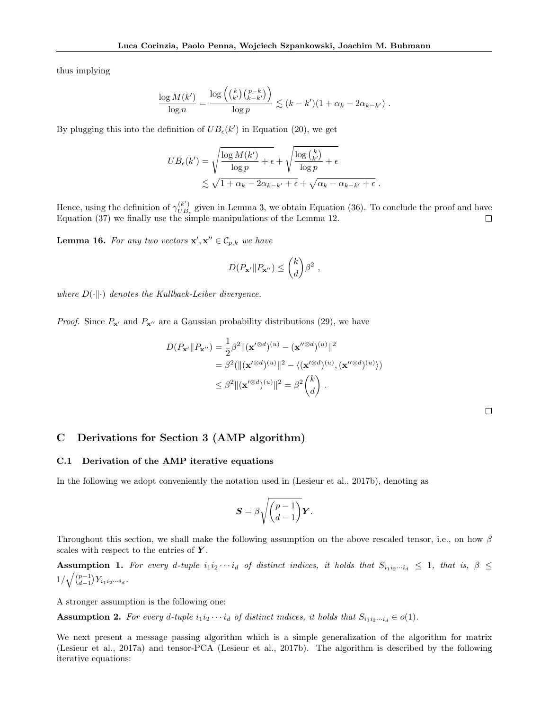thus implying

$$
\frac{\log M(k')}{\log n} = \frac{\log \left( {k \choose k'} {p-k \choose k-k'} \right)}{\log p} \lesssim (k-k')(1+\alpha_k-2\alpha_{k-k'}) .
$$

By plugging this into the definition of  $UB_{\epsilon}(k')$  in Equation (20), we get

$$
UB_{\epsilon}(k') = \sqrt{\frac{\log M(k')}{\log p} + \epsilon} + \sqrt{\frac{\log {k \choose k'}}{\log p} + \epsilon}
$$
  
\$\lesssim \sqrt{1 + \alpha\_k - 2\alpha\_{k-k'} + \epsilon} + \sqrt{\alpha\_k - \alpha\_{k-k'} + \epsilon} .

Hence, using the definition of  $\gamma_{UB}^{(k')}$  $\binom{K}{UB_{\epsilon}}$  given in Lemma 3, we obtain Equation (36). To conclude the proof and have Equation (37) we finally use the simple manipulations of the Lemma 12.

**Lemma 16.** For any two vectors  $\mathbf{x}', \mathbf{x}'' \in C_{p,k}$  we have

$$
D(P_{\mathbf{x}'} \| P_{\mathbf{x}''}) \leq {k \choose d} \beta^2 ,
$$

where  $D(\cdot||\cdot)$  denotes the Kullback-Leiber divergence.

*Proof.* Since  $P_{\mathbf{x}'}$  and  $P_{\mathbf{x}''}$  are a Gaussian probability distributions (29), we have

$$
D(P_{\mathbf{x}'} || P_{\mathbf{x}''}) = \frac{1}{2} \beta^2 ||(\mathbf{x}'^{\otimes d})^{(u)} - (\mathbf{x}''^{\otimes d})^{(u)}||^2
$$
  
=  $\beta^2 (||(\mathbf{x}'^{\otimes d})^{(u)}||^2 - \langle (\mathbf{x}'^{\otimes d})^{(u)}, (\mathbf{x}''^{\otimes d})^{(u)} \rangle)$   
 $\leq \beta^2 ||(\mathbf{x}'^{\otimes d})^{(u)}||^2 = \beta^2 {k \choose d}.$ 

## C Derivations for Section 3 (AMP algorithm)

#### C.1 Derivation of the AMP iterative equations

In the following we adopt conveniently the notation used in (Lesieur et al., 2017b), denoting as

$$
\mathbf{S} = \beta \sqrt{\binom{p-1}{d-1}} \mathbf{Y}.
$$

Throughout this section, we shall make the following assumption on the above rescaled tensor, i.e., on how  $\beta$ scales with respect to the entries of  $Y$ .

Assumption 1. For every d-tuple  $i_1i_2\cdots i_d$  of distinct indices, it holds that  $S_{i_1i_2\cdots i_d} \leq 1$ , that is,  $\beta \leq$  $1/\sqrt{\binom{p-1}{d-1}} Y_{i_1 i_2 \cdots i_d}$ .

A stronger assumption is the following one:

Assumption 2. For every d-tuple  $i_1i_2\cdots i_d$  of distinct indices, it holds that  $S_{i_1i_2\cdots i_d} \in o(1)$ .

We next present a message passing algorithm which is a simple generalization of the algorithm for matrix (Lesieur et al., 2017a) and tensor-PCA (Lesieur et al., 2017b). The algorithm is described by the following iterative equations: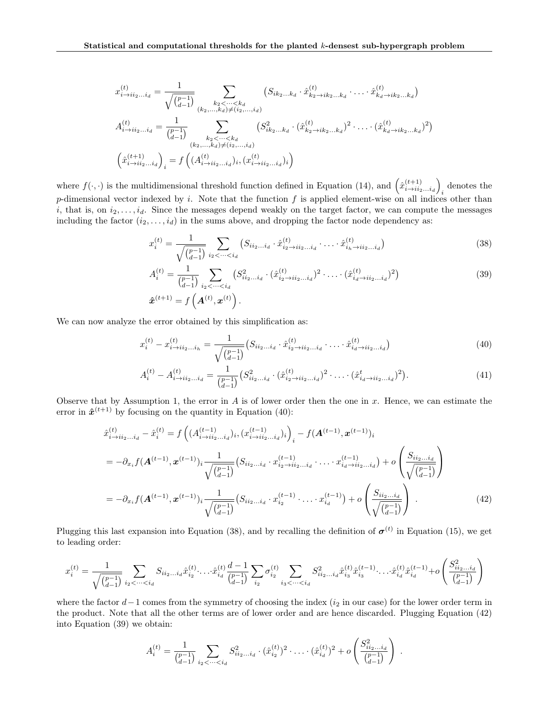$$
x_{i \to ii_2...i_d}^{(t)} = \frac{1}{\sqrt{\binom{p-1}{d-1}}} \sum_{\substack{k_2 < \dots < k_d \\ (k_2, \dots, k_d) \neq (i_2, \dots, i_d)}} \left( S_{ik_2 \dots k_d} \cdot \hat{x}_{k_2 \to ik_2 \dots k_d}^{(t)} \cdot \dots \cdot \hat{x}_{k_d \to ik_2 \dots k_d}^{(t)} \right)
$$
  

$$
A_{i \to ii_2...i_d}^{(t)} = \frac{1}{\binom{p-1}{d-1}} \sum_{\substack{k_2 < \dots < k_d \\ (k_2, \dots, k_d) \neq (i_2, \dots, i_d)}} \left( S_{ik_2 \dots k_d}^2 \cdot \hat{x}_{k_2 \to ik_2 \dots k_d}^{(t)} \right)^2 \cdot \dots \cdot \left( \hat{x}_{k_d \to ik_2 \dots k_d}^{(t)} \right)^2
$$
  

$$
\left( \hat{x}_{i \to ii_2...i_d}^{(t+1)} \right)_i = f\left( (A_{i \to ii_2...i_d}^{(t)})_i, (x_{i \to ii_2...i_d}^{(t)})_i \right)
$$

where  $f(\cdot, \cdot)$  is the multidimensional threshold function defined in Equation (14), and  $(\hat{x}_{i\to ii_2...i_d}^{(t+1)})$ denotes the  $i$ p-dimensional vector indexed by i. Note that the function f is applied element-wise on all indices other than i, that is, on  $i_2, \ldots, i_d$ . Since the messages depend weakly on the target factor, we can compute the messages including the factor  $(i_2, \ldots, i_d)$  in the sums above, and dropping the factor node dependency as:

$$
x_i^{(t)} = \frac{1}{\sqrt{\binom{p-1}{d-1}}} \sum_{i_2 < \cdots < i_d} \left( S_{ii_2 \ldots i_d} \cdot \hat{x}_{i_2 \to ii_2 \ldots i_d}^{(t)} \cdot \cdots \cdot \hat{x}_{i_h \to ii_2 \ldots i_d}^{(t)} \right) \tag{38}
$$

$$
A_i^{(t)} = \frac{1}{\binom{p-1}{d-1}} \sum_{i_2 < \dots < i_d} \left( S_{ii_2 \dots i_d}^{2} \cdot (\hat{x}_{i_2 \to ii_2 \dots i_d}^{(t)})^2 \cdot \dots \cdot (\hat{x}_{i_d \to ii_2 \dots i_d}^{(t)})^2 \right)
$$
\n
$$
\hat{x}^{(t+1)} = f\left( \mathbf{A}^{(t)}, \mathbf{x}^{(t)} \right).
$$
\n(39)

We can now analyze the error obtained by this simplification as:

$$
x_i^{(t)} - x_{i \to ii_2...i_h}^{(t)} = \frac{1}{\sqrt{\binom{p-1}{d-1}}} \left( S_{ii_2...i_d} \cdot \hat{x}_{i_2 \to ii_2...i_d}^{(t)} \cdot \dots \cdot \hat{x}_{i_d \to ii_2...i_d}^{(t)} \right)
$$
(40)

$$
A_i^{(t)} - A_{i \to ii_2...i_d}^{(t)} = \frac{1}{\binom{p-1}{d-1}} \left( S_{ii_2...i_d}^2 \cdot (\hat{x}_{i_2 \to ii_2...i_d}^{(t)})^2 \cdot \ldots \cdot (\hat{x}_{i_d \to ii_2...i_d}^t)^2 \right). \tag{41}
$$

Observe that by Assumption 1, the error in  $A$  is of lower order then the one in  $x$ . Hence, we can estimate the error in  $\hat{x}^{(t+1)}$  by focusing on the quantity in Equation (40):

$$
\hat{x}_{i \to i i_2 \dots i_d}^{(t)} - \hat{x}_i^{(t)} = f\left((A_{i \to i i_2 \dots i_d}^{(t-1)})_i, (x_{i \to i i_2 \dots i_d}^{(t-1)})_i\right)_{i} - f(A^{(t-1)}, \boldsymbol{x}^{(t-1)})_i
$$
\n
$$
= -\partial_{x_i} f(A^{(t-1)}, \boldsymbol{x}^{(t-1)})_i \frac{1}{\sqrt{\binom{p-1}{d-1}}} (S_{i i_2 \dots i_d} \cdot x_{i_2 \to i i_2 \dots i_d}^{(t-1)} \cdot \dots \cdot x_{i_d \to i i_2 \dots i_d}^{(t-1)}) + o\left(\frac{S_{i i_2 \dots i_d}}{\sqrt{\binom{p-1}{d-1}}}\right)
$$
\n
$$
= -\partial_{x_i} f(A^{(t-1)}, \boldsymbol{x}^{(t-1)})_i \frac{1}{\sqrt{\binom{p-1}{d-1}}} (S_{i i_2 \dots i_d} \cdot x_{i_2}^{(t-1)} \cdot \dots \cdot x_{i_d}^{(t-1)}) + o\left(\frac{S_{i i_2 \dots i_d}}{\sqrt{\binom{p-1}{d-1}}}\right).
$$
\n(42)

Plugging this last expansion into Equation (38), and by recalling the definition of  $\sigma^{(t)}$  in Equation (15), we get to leading order:

$$
x_i^{(t)} = \frac{1}{\sqrt{\binom{p-1}{d-1}}} \sum_{i_2 < \cdots < i_d} S_{ii_2 \ldots i_d} \hat{x}_{i_2}^{(t)} \cdots \hat{x}_{i_d}^{(t)} \frac{d-1}{\binom{p-1}{d-1}} \sum_{i_2} \sigma_{i_2}^{(t)} \sum_{i_3 < \cdots < i_d} S_{ii_2 \ldots i_d}^2 \hat{x}_{i_3}^{(t)} \hat{x}_{i_3}^{(t-1)} \cdots \hat{x}_{i_d}^{(t)} \hat{x}_{i_d}^{(t-1)} + o\left(\frac{S_{ii_2 \ldots i_d}^2}{\binom{p-1}{d-1}}\right)
$$

where the factor  $d-1$  comes from the symmetry of choosing the index (i<sub>2</sub> in our case) for the lower order term in the product. Note that all the other terms are of lower order and are hence discarded. Plugging Equation (42) into Equation (39) we obtain:

$$
A_i^{(t)} = \frac{1}{\binom{p-1}{d-1}} \sum_{i_2 < \dots < i_d} S_{ii_2 \dots i_d}^2 \cdot (\hat{x}_{i_2}^{(t)})^2 \cdot \dots \cdot (\hat{x}_{i_d}^{(t)})^2 + o\left(\frac{S_{ii_2 \dots i_d}^2}{\binom{p-1}{d-1}}\right) \; .
$$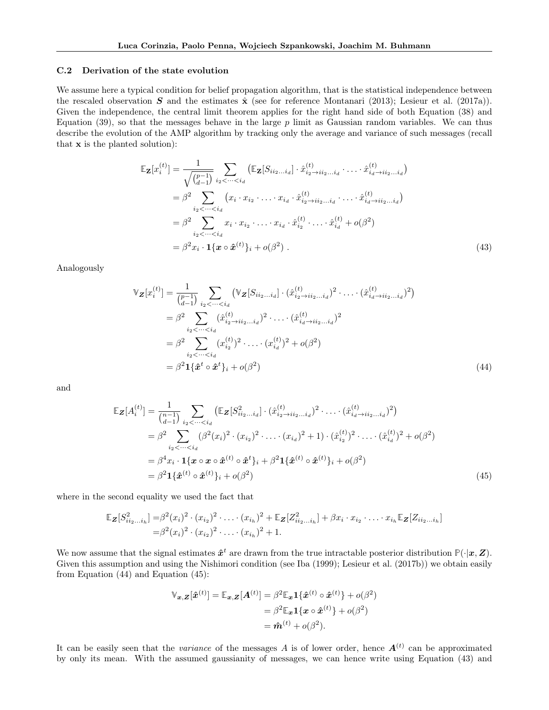#### C.2 Derivation of the state evolution

We assume here a typical condition for belief propagation algorithm, that is the statistical independence between the rescaled observation S and the estimates  $\hat{\mathbf{x}}$  (see for reference Montanari (2013); Lesieur et al. (2017a)). Given the independence, the central limit theorem applies for the right hand side of both Equation (38) and Equation (39), so that the messages behave in the large  $p$  limit as Gaussian random variables. We can thus describe the evolution of the AMP algorithm by tracking only the average and variance of such messages (recall that x is the planted solution):

$$
\mathbb{E}_{\mathbf{Z}}[x_i^{(t)}] = \frac{1}{\sqrt{\binom{p-1}{d-1}}} \sum_{i_2 < \dots < i_d} (\mathbb{E}_{\mathbf{Z}}[S_{ii_2 \dots i_d}] \cdot \hat{x}_{i_2 \to ii_2 \dots i_d}^{(t)} \cdot \dots \cdot \hat{x}_{i_d \to ii_2 \dots i_d}^{(t)})
$$
\n
$$
= \beta^2 \sum_{i_2 < \dots < i_d} (x_i \cdot x_{i_2} \cdot \dots \cdot x_{i_d} \cdot \hat{x}_{i_2 \to ii_2 \dots i_d}^{(t)} \cdot \dots \cdot \hat{x}_{i_d \to ii_2 \dots i_d}^{(t)})
$$
\n
$$
= \beta^2 \sum_{i_2 < \dots < i_d} x_i \cdot x_{i_2} \cdot \dots \cdot x_{i_d} \cdot \hat{x}_{i_2}^{(t)} \cdot \dots \cdot \hat{x}_{i_d}^{(t)} + o(\beta^2)
$$
\n
$$
= \beta^2 x_i \cdot \mathbf{1} \{ \mathbf{x} \circ \hat{\mathbf{x}}^{(t)} \}^i + o(\beta^2) \,. \tag{43}
$$

Analogously

$$
\mathbb{V}_{\mathbf{Z}}[x_i^{(t)}] = \frac{1}{\binom{p-1}{d-1}} \sum_{i_2 < \dots < i_d} (\mathbb{V}_{\mathbf{Z}}[S_{ii_2 \dots i_d}] \cdot (\hat{x}_{i_2 \to ii_2 \dots i_d}^{(t)})^2 \cdot \dots \cdot (\hat{x}_{i_d \to ii_2 \dots i_d}^{(t)})^2)
$$
  
\n
$$
= \beta^2 \sum_{i_2 < \dots < i_d} (\hat{x}_{i_2 \to ii_2 \dots i_d}^{(t)})^2 \cdot \dots \cdot (\hat{x}_{i_d \to ii_2 \dots i_d}^{(t)})^2
$$
  
\n
$$
= \beta^2 \sum_{i_2 < \dots < i_d} (x_{i_2}^{(t)})^2 \cdot \dots \cdot (x_{i_d}^{(t)})^2 + o(\beta^2)
$$
  
\n
$$
= \beta^2 \mathbf{1} \{\hat{\mathbf{x}}^t \circ \hat{\mathbf{x}}^t\}_i + o(\beta^2)
$$
\n(44)

and

$$
\mathbb{E}_{\mathbf{Z}}[A_i^{(t)}] = \frac{1}{\binom{n-1}{d-1}} \sum_{i_2 < \dots < i_d} \left( \mathbb{E}_{\mathbf{Z}}[S_{ii_2\dots i_d}^{2}] \cdot (\hat{x}_{i_2 \to ii_2\dots i_d}^{(t)})^2 \cdot \dots \cdot (\hat{x}_{i_d \to ii_2\dots i_d}^{(t)})^2 \right)
$$
\n
$$
= \beta^2 \sum_{i_2 < \dots < i_d} (\beta^2 (x_i)^2 \cdot (x_{i_2})^2 \cdot \dots \cdot (x_{i_d})^2 + 1) \cdot (\hat{x}_{i_2}^{(t)})^2 \cdot \dots \cdot (\hat{x}_{i_d}^{(t)})^2 + o(\beta^2)
$$
\n
$$
= \beta^4 x_i \cdot \mathbf{1} \{ \mathbf{x} \circ \mathbf{x} \circ \hat{\mathbf{x}}^{(t)} \circ \hat{\mathbf{x}}^t \}_i + \beta^2 \mathbf{1} \{ \hat{\mathbf{x}}^{(t)} \circ \hat{\mathbf{x}}^{(t)} \}_i + o(\beta^2)
$$
\n
$$
= \beta^2 \mathbf{1} \{ \hat{\mathbf{x}}^{(t)} \circ \hat{\mathbf{x}}^{(t)} \}_i + o(\beta^2) \tag{45}
$$

where in the second equality we used the fact that

$$
\mathbb{E}_{\mathbf{Z}}[S_{ii_2...i_h}^2] = \beta^2(x_i)^2 \cdot (x_{i_2})^2 \cdot \ldots \cdot (x_{i_h})^2 + \mathbb{E}_{\mathbf{Z}}[Z_{ii_2...i_h}^2] + \beta x_i \cdot x_{i_2} \cdot \ldots \cdot x_{i_h} \mathbb{E}_{\mathbf{Z}}[Z_{ii_2...i_h}]
$$
  
=  $\beta^2(x_i)^2 \cdot (x_{i_2})^2 \cdot \ldots \cdot (x_{i_h})^2 + 1$ .

We now assume that the signal estimates  $\hat{x}^t$  are drawn from the true intractable posterior distribution  $\mathbb{P}(\cdot|\mathbf{x}, \mathbf{Z})$ . Given this assumption and using the Nishimori condition (see Iba (1999); Lesieur et al. (2017b)) we obtain easily from Equation (44) and Equation (45):

$$
\mathbb{V}_{\boldsymbol{x},\boldsymbol{Z}}[\hat{\boldsymbol{x}}^{(t)}] = \mathbb{E}_{\boldsymbol{x},\boldsymbol{Z}}[\boldsymbol{A}^{(t)}] = \beta^2 \mathbb{E}_{\boldsymbol{x}} \boldsymbol{1}\{\hat{\boldsymbol{x}}^{(t)} \circ \hat{\boldsymbol{x}}^{(t)}\} + o(\beta^2)
$$

$$
= \beta^2 \mathbb{E}_{\boldsymbol{x}} \boldsymbol{1}\{\boldsymbol{x} \circ \hat{\boldsymbol{x}}^{(t)}\} + o(\beta^2)
$$

$$
= \hat{\boldsymbol{m}}^{(t)} + o(\beta^2).
$$

It can be easily seen that the *variance* of the messages A is of lower order, hence  $A^{(t)}$  can be approximated by only its mean. With the assumed gaussianity of messages, we can hence write using Equation (43) and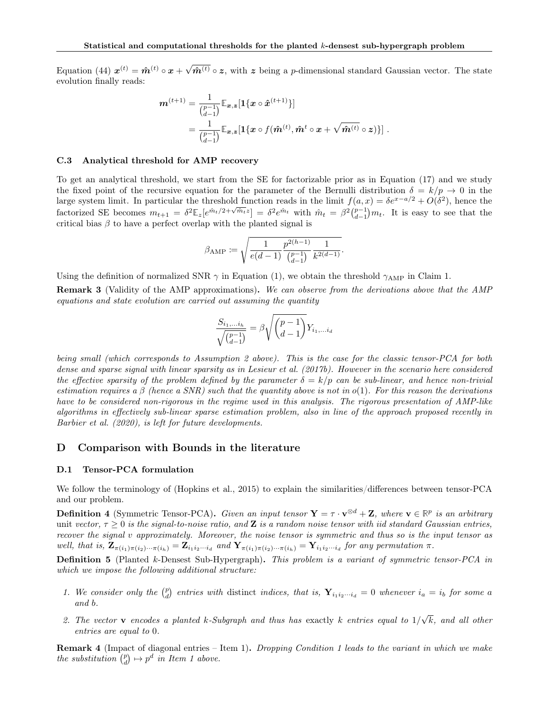Equation (44)  $\boldsymbol{x}^{(t)} = \hat{\boldsymbol{m}}^{(t)} \circ \boldsymbol{x} + \sqrt{\sum_{i=1}^{t} x_i^2 + \sum_{i=1}^{t} x_i^2}$  $\hat{m}^{(t)} \circ z$ , with z being a p-dimensional standard Gaussian vector. The state evolution finally reads:

$$
\begin{aligned} \boldsymbol{m}^{(t+1)} &= \frac{1}{\binom{p-1}{d-1}}\mathbb{E}_{\boldsymbol{x},\boldsymbol{z}}[\boldsymbol{1}\{\boldsymbol{x}\circ\hat{\boldsymbol{x}}^{(t+1)}\}] \\ &= \frac{1}{\binom{p-1}{d-1}}\mathbb{E}_{\boldsymbol{x},\boldsymbol{z}}[\boldsymbol{1}\{\boldsymbol{x}\circ f(\hat{\boldsymbol{m}}^{(t)},\hat{\boldsymbol{m}}^{t}\circ\boldsymbol{x}+\sqrt{\hat{\boldsymbol{m}}^{(t)}}\circ\boldsymbol{z})\}]\ . \end{aligned}
$$

#### C.3 Analytical threshold for AMP recovery

To get an analytical threshold, we start from the SE for factorizable prior as in Equation (17) and we study the fixed point of the recursive equation for the parameter of the Bernulli distribution  $\delta = k/p \rightarrow 0$  in the large system limit. In particular the threshold function reads in the limit  $f(a, x) = \delta e^{x-a/2} + O(\delta^2)$ , hence the factorized SE becomes  $m_{t+1} = \delta^2 \mathbb{E}_z[e^{\hat{m}_t/2 + \sqrt{\hat{m}_t}z}] = \delta^2 e^{\hat{m}_t}$  with  $\hat{m}_t = \beta^2 \binom{p-1}{d-1} m_t$ . It is easy to see that the critical bias  $\beta$  to have a perfect overlap with the planted signal is

$$
\beta_{\rm AMP} \coloneqq \sqrt{\frac{1}{e(d-1)}\frac{p^{2(h-1)}}{\binom{p-1}{d-1}}\frac{1}{k^{2(d-1)}}}.
$$

Using the definition of normalized SNR  $\gamma$  in Equation (1), we obtain the threshold  $\gamma_{\text{AMP}}$  in Claim 1.

**Remark 3** (Validity of the AMP approximations). We can observe from the derivations above that the AMP equations and state evolution are carried out assuming the quantity

$$
\frac{S_{i_1,...i_h}}{\sqrt{\binom{p-1}{d-1}}} = \beta \sqrt{\binom{p-1}{d-1}} Y_{i_1,...i_d}
$$

being small (which corresponds to Assumption 2 above). This is the case for the classic tensor-PCA for both dense and sparse signal with linear sparsity as in Lesieur et al. (2017b). However in the scenario here considered the effective sparsity of the problem defined by the parameter  $\delta = k/p$  can be sub-linear, and hence non-trivial estimation requires a β (hence a SNR) such that the quantity above is not in  $o(1)$ . For this reason the derivations have to be considered non-rigorous in the regime used in this analysis. The rigorous presentation of AMP-like algorithms in effectively sub-linear sparse estimation problem, also in line of the approach proposed recently in Barbier et al. (2020), is left for future developments.

## D Comparison with Bounds in the literature

#### D.1 Tensor-PCA formulation

We follow the terminology of (Hopkins et al., 2015) to explain the similarities/differences between tensor-PCA and our problem.

**Definition 4** (Symmetric Tensor-PCA). Given an input tensor  $\mathbf{Y} = \tau \cdot \mathbf{v}^{\otimes d} + \mathbf{Z}$ , where  $\mathbf{v} \in \mathbb{R}^p$  is an arbitrary unit vector,  $\tau > 0$  is the signal-to-noise ratio, and Z is a random noise tensor with iid standard Gaussian entries, recover the signal v approximately. Moreover, the noise tensor is symmetric and thus so is the input tensor as well, that is,  $\mathbf{Z}_{\pi(i_1)\pi(i_2)\cdots\pi(i_h)} = \mathbf{Z}_{i_1i_2\cdots i_d}$  and  $\mathbf{Y}_{\pi(i_1)\pi(i_2)\cdots\pi(i_h)} = \mathbf{Y}_{i_1i_2\cdots i_d}$  for any permutation  $\pi$ .

**Definition 5** (Planted k-Densest Sub-Hypergraph). This problem is a variant of symmetric tensor-PCA in which we impose the following additional structure:

- 1. We consider only the  $\binom{p}{d}$  entries with distinct indices, that is,  $\mathbf{Y}_{i_1i_2\cdots i_d} = 0$  whenever  $i_a = i_b$  for some a and b.
- 2. The vector **v** encodes a planted k-Subgraph and thus has exactly k entries equal to  $1/$ √ k, and all other entries are equal to 0.

**Remark 4** (Impact of diagonal entries – Item 1). Dropping Condition 1 leads to the variant in which we make the substitution  $\begin{pmatrix} p \\ d \end{pmatrix} \mapsto p^d$  in Item 1 above.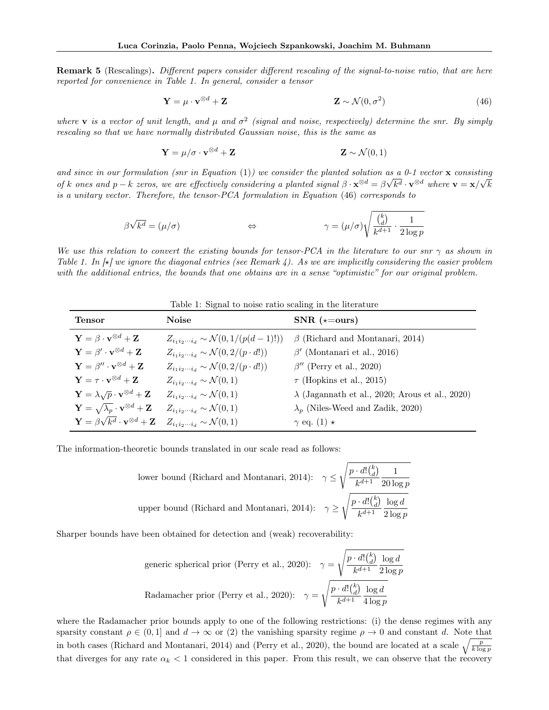Remark 5 (Rescalings). Different papers consider different rescaling of the signal-to-noise ratio, that are here reported for convenience in Table 1. In general, consider a tensor

$$
\mathbf{Y} = \mu \cdot \mathbf{v}^{\otimes d} + \mathbf{Z} \tag{46}
$$

where **v** is a vector of unit length, and  $\mu$  and  $\sigma^2$  (signal and noise, respectively) determine the snr. By simply rescaling so that we have normally distributed Gaussian noise, this is the same as

$$
\mathbf{Y} = \mu/\sigma \cdot \mathbf{v}^{\otimes d} + \mathbf{Z} \tag{0,1}
$$

and since in our formulation (snr in Equation (1)) we consider the planted solution as a 0-1 vector  $\bf{x}$  consisting of k ones and  $p - k$  zeros, we are effectively considering a planted signal  $\beta \cdot \mathbf{x}^{\otimes d} = \beta \sqrt{k^d} \cdot \mathbf{v}^{\otimes d}$  where  $\mathbf{v} = \mathbf{x}/\sqrt{k}$ is a unitary vector. Therefore, the tensor-PCA formulation in Equation (46) corresponds to

$$
\beta \sqrt{k^d} = (\mu/\sigma) \qquad \Longleftrightarrow \qquad \gamma = (\mu/\sigma) \sqrt{\frac{k}{k^{d+1}} \cdot \frac{1}{2 \log p}}
$$

We use this relation to convert the existing bounds for tensor-PCA in the literature to our snr  $\gamma$  as shown in Table 1. In  $\vert \star \vert$  we ignore the diagonal entries (see Remark 4). As we are implicitly considering the easier problem with the additional entries, the bounds that one obtains are in a sense "optimistic" for our original problem.

| Table 1: Signal to noise ratio scaling in the literature                      |                                                             |                                                        |  |  |  |
|-------------------------------------------------------------------------------|-------------------------------------------------------------|--------------------------------------------------------|--|--|--|
| <b>Tensor</b>                                                                 | <b>Noise</b>                                                | $SNR$ ( $\star = \text{ours}$ )                        |  |  |  |
| $\mathbf{Y} = \beta \cdot \mathbf{v}^{\otimes d} + \mathbf{Z}$                | $Z_{i_1 i_2 \cdots i_d} \sim \mathcal{N}(0, 1/(p(d-1)!))$   | $\beta$ (Richard and Montanari, 2014)                  |  |  |  |
| $\mathbf{Y} = \beta' \cdot \mathbf{v}^{\otimes d} + \mathbf{Z}$               | $Z_{i_1i_2\cdots i_d} \sim \mathcal{N}(0, 2/(p \cdot d!) )$ | $\beta'$ (Montanari et al., 2016)                      |  |  |  |
| $\mathbf{Y} = \beta^{\prime\prime} \cdot \mathbf{v}^{\otimes d} + \mathbf{Z}$ | $Z_{i_1i_2\cdots i_d} \sim \mathcal{N}(0, 2/(p \cdot d!) )$ | $\beta''$ (Perry et al., 2020)                         |  |  |  |
| $\mathbf{Y} = \tau \cdot \mathbf{v}^{\otimes d} + \mathbf{Z}$                 | $Z_{i_1i_2\cdots i_d} \sim \mathcal{N}(0,1)$                | $\tau$ (Hopkins et al., 2015)                          |  |  |  |
| $\mathbf{Y} = \lambda \sqrt{p} \cdot \mathbf{v}^{\otimes d} + \mathbf{Z}$     | $Z_{i_1i_2\cdots i_d} \sim \mathcal{N}(0,1)$                | $\lambda$ (Jagannath et al., 2020; Arous et al., 2020) |  |  |  |
| $\mathbf{Y}=\sqrt{\lambda_{p}}\cdot\mathbf{v}^{\otimes d}+\mathbf{Z}$         | $Z_{i_1i_2\cdots i_d} \sim \mathcal{N}(0,1)$                | $\lambda_n$ (Niles-Weed and Zadik, 2020)               |  |  |  |
| $\mathbf{Y} = \beta \sqrt{k^d} \cdot \mathbf{v}^{\otimes d} + \mathbf{Z}$     | $Z_{i_1i_2\cdots i_d} \sim \mathcal{N}(0,1)$                | $\gamma$ eq. (1) $\star$                               |  |  |  |

The information-theoretic bounds translated in our scale read as follows:

lower bound (Richard and Montanari, 2014): 
$$
\gamma \le \sqrt{\frac{p \cdot d! {k \choose d}}{k^{d+1}} \frac{1}{20 \log p}}
$$
\nupper bound (Richard and Montanari, 2014): 
$$
\gamma \ge \sqrt{\frac{p \cdot d! {k \choose d}}{k^{d+1}} \frac{\log d}{2 \log p}}
$$

Sharper bounds have been obtained for detection and (weak) recoverability:

$$
\text{generic spherical prior (Perry et al., 2020):} \quad \gamma = \sqrt{\frac{p \cdot d! \binom{k}{d} \, \log d}{k^{d+1}} \frac{\log d}{2 \log p}}
$$
\n
$$
\text{Radamacher prior (Perry et al., 2020):} \quad \gamma = \sqrt{\frac{p \cdot d! \binom{k}{d} \, \log d}{k^{d+1}} \frac{\log d}{4 \log p}}
$$

where the Radamacher prior bounds apply to one of the following restrictions: (i) the dense regimes with any sparsity constant  $\rho \in (0,1]$  and  $d \to \infty$  or (2) the vanishing sparsity regime  $\rho \to 0$  and constant d. Note that in both cases (Richard and Montanari, 2014) and (Perry et al., 2020), the bound are located at a scale  $\sqrt{\frac{p}{k \log p}}$ that diverges for any rate  $\alpha_k < 1$  considered in this paper. From this result, we can observe that the recovery